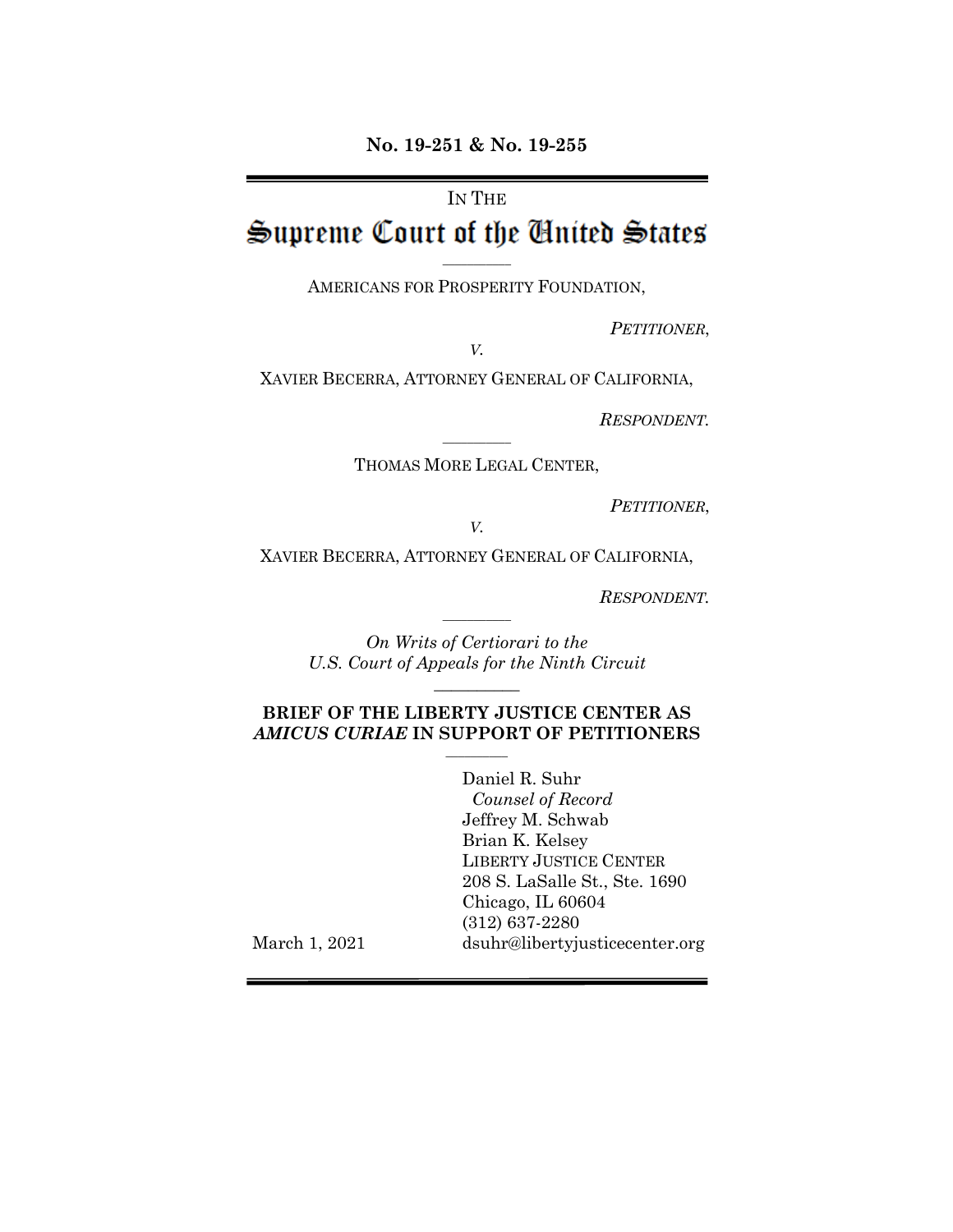# IN THE

# Supreme Court of the Cinited States

AMERICANS FOR PROSPERITY FOUNDATION,

*PETITIONER*,

*V.*

XAVIER BECERRA, ATTORNEY GENERAL OF CALIFORNIA,

*RESPONDENT.*

 $\mathcal{L}=\mathcal{L}$ THOMAS MORE LEGAL CENTER,

*PETITIONER*,

*V.*

XAVIER BECERRA, ATTORNEY GENERAL OF CALIFORNIA,

*RESPONDENT.*

*On Writs of Certiorari to the U.S. Court of Appeals for the Ninth Circuit*

 $\overline{\phantom{a}}$  , where  $\overline{\phantom{a}}$ 

 $\overline{\phantom{a}}$  , where  $\overline{\phantom{a}}$ 

#### **BRIEF OF THE LIBERTY JUSTICE CENTER AS**  *AMICUS CURIAE* **IN SUPPORT OF PETITIONERS**  $\frac{1}{2}$

Daniel R. Suhr *Counsel of Record* Jeffrey M. Schwab Brian K. Kelsey LIBERTY JUSTICE CENTER 208 S. LaSalle St., Ste. 1690 Chicago, IL 60604 (312) 637-2280 dsuhr@libertyjusticecenter.org

March 1, 2021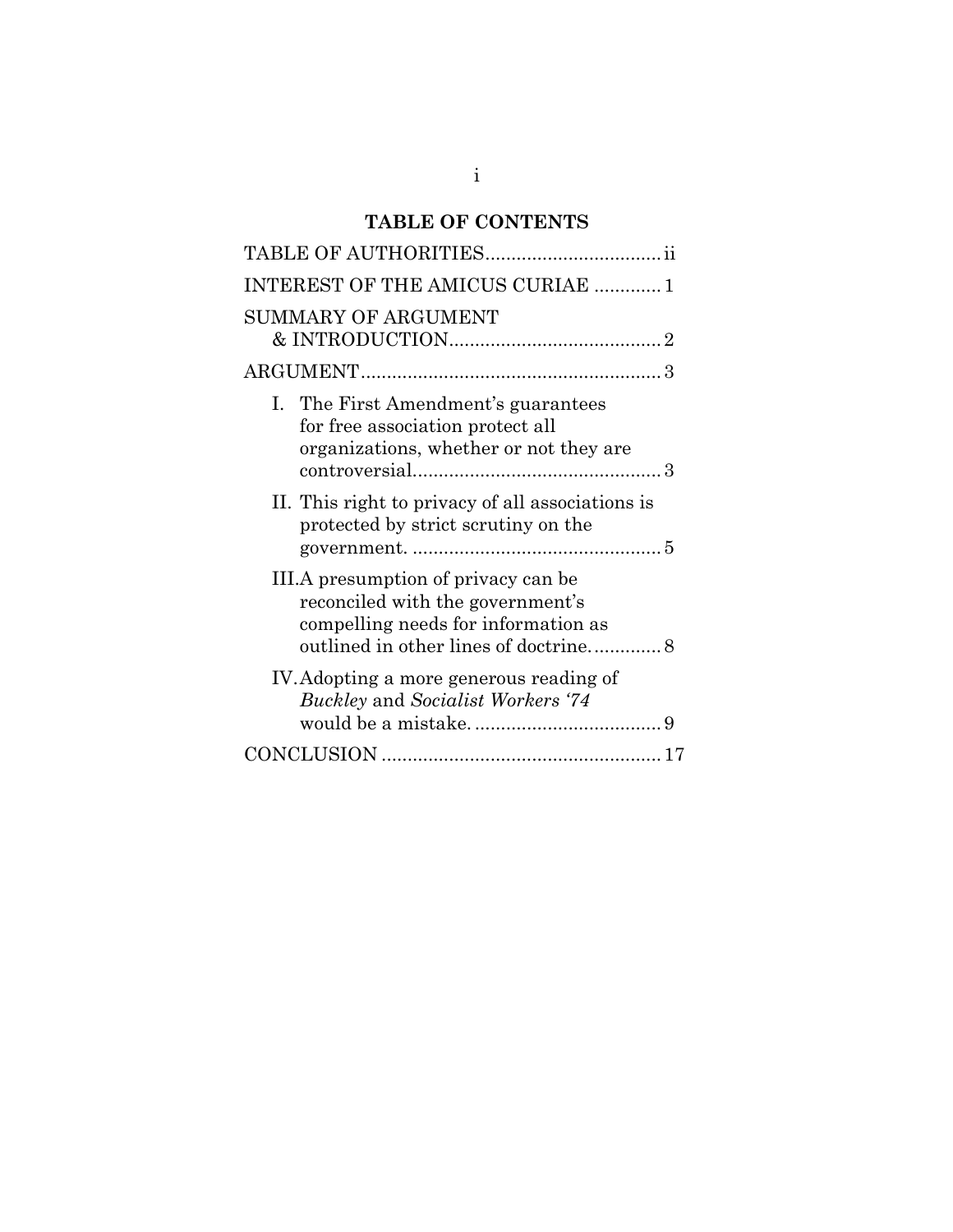# **TABLE OF CONTENTS**

| <b>INTEREST OF THE AMICUS CURIAE  1</b>                                                                           |
|-------------------------------------------------------------------------------------------------------------------|
| SUMMARY OF ARGUMENT                                                                                               |
|                                                                                                                   |
| I. The First Amendment's guarantees<br>for free association protect all<br>organizations, whether or not they are |
| II. This right to privacy of all associations is<br>protected by strict scrutiny on the                           |
| III.A presumption of privacy can be<br>reconciled with the government's<br>compelling needs for information as    |
| IV. Adopting a more generous reading of<br>Buckley and Socialist Workers '74                                      |
|                                                                                                                   |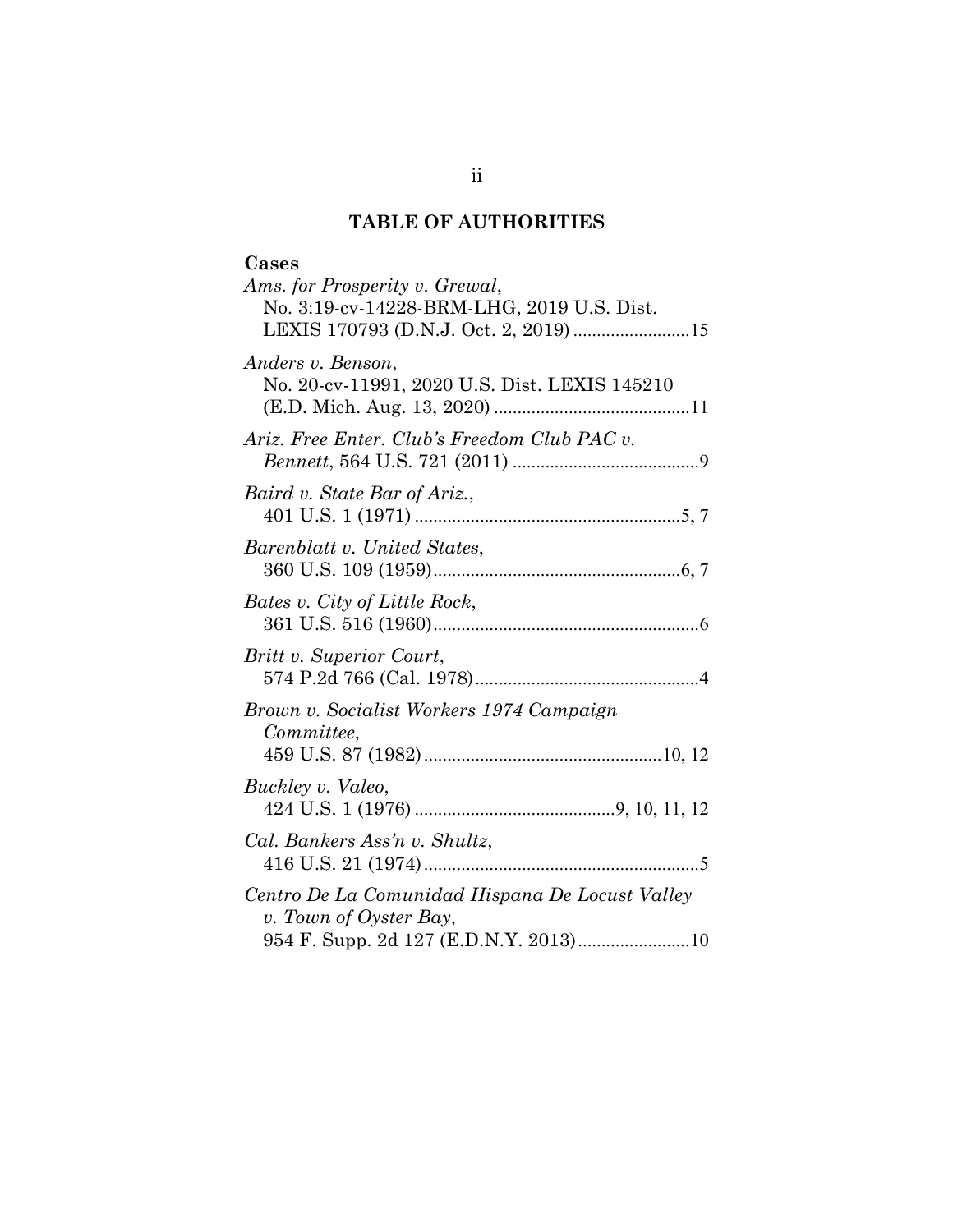# **TABLE OF AUTHORITIES**

| Cases                                           |
|-------------------------------------------------|
| Ams. for Prosperity v. Grewal,                  |
| No. 3:19-cv-14228-BRM-LHG, 2019 U.S. Dist.      |
|                                                 |
| Anders v. Benson,                               |
| No. 20-cv-11991, 2020 U.S. Dist. LEXIS 145210   |
|                                                 |
|                                                 |
| Ariz. Free Enter. Club's Freedom Club PAC v.    |
|                                                 |
| Baird v. State Bar of Ariz.,                    |
|                                                 |
|                                                 |
| Barenblatt v. United States,                    |
|                                                 |
| Bates v. City of Little Rock,                   |
|                                                 |
| Britt v. Superior Court,                        |
|                                                 |
|                                                 |
| Brown v. Socialist Workers 1974 Campaign        |
| Committee,                                      |
|                                                 |
| Buckley v. Valeo,                               |
|                                                 |
|                                                 |
| Cal. Bankers Ass'n v. Shultz,                   |
|                                                 |
| Centro De La Comunidad Hispana De Locust Valley |
| v. Town of Oyster Bay,                          |
| 954 F. Supp. 2d 127 (E.D.N.Y. 2013)10           |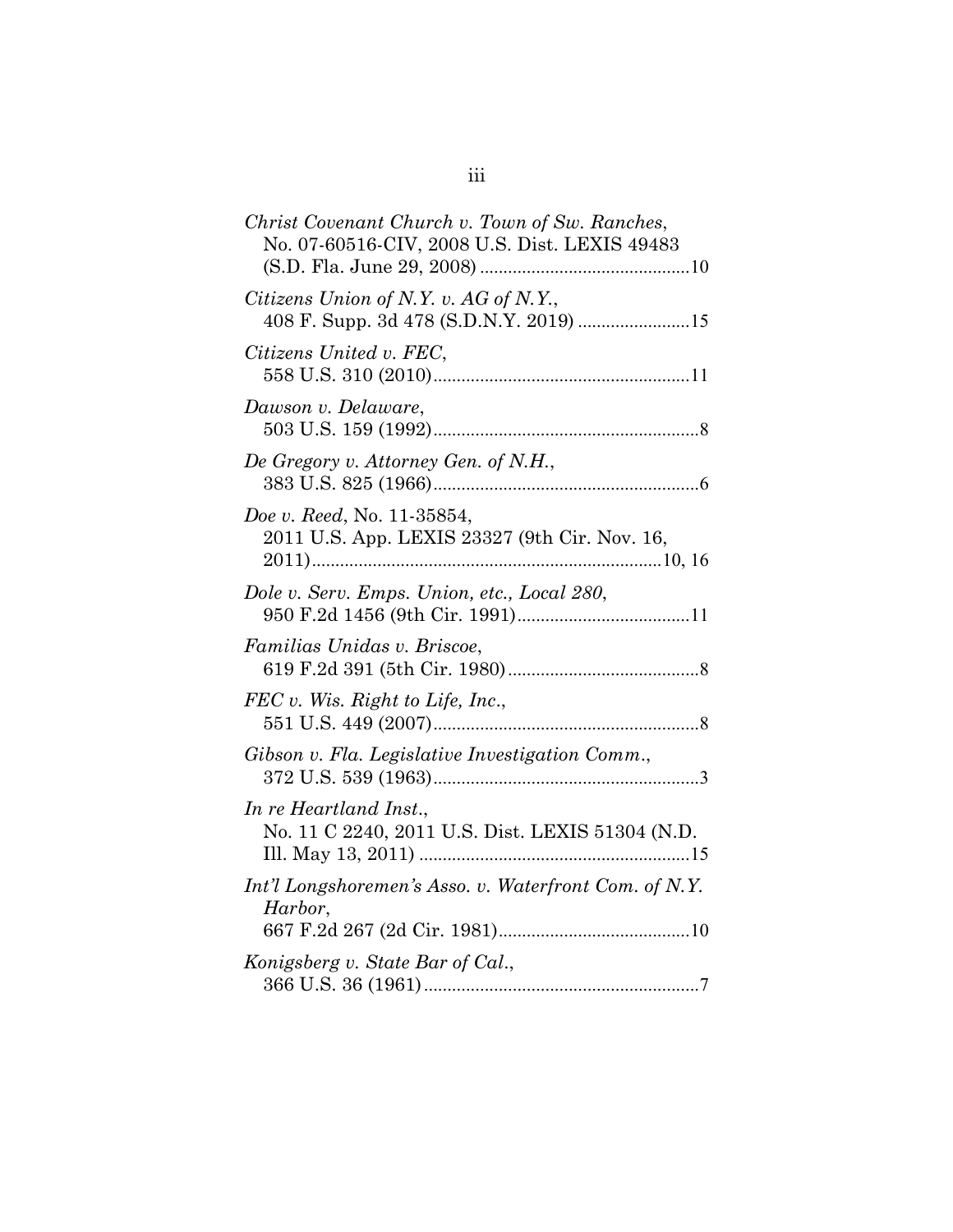| Christ Covenant Church v. Town of Sw. Ranches,<br>No. 07-60516-CIV, 2008 U.S. Dist. LEXIS 49483 |
|-------------------------------------------------------------------------------------------------|
| Citizens Union of N.Y. v. AG of N.Y.,<br>408 F. Supp. 3d 478 (S.D.N.Y. 2019) 15                 |
| Citizens United v. FEC,                                                                         |
| Dawson v. Delaware,                                                                             |
| De Gregory v. Attorney Gen. of N.H.,                                                            |
| Doe v. Reed, No. 11-35854,<br>2011 U.S. App. LEXIS 23327 (9th Cir. Nov. 16,                     |
| Dole v. Serv. Emps. Union, etc., Local 280,                                                     |
| Familias Unidas v. Briscoe,                                                                     |
| $FEC$ v. Wis. Right to Life, Inc.,                                                              |
| Gibson v. Fla. Legislative Investigation Comm.,                                                 |
| In re Heartland Inst.,<br>No. 11 C 2240, 2011 U.S. Dist. LEXIS 51304 (N.D.                      |
| Int'l Longshoremen's Asso. v. Waterfront Com. of N.Y.<br>Harbor,                                |
| Konigsberg v. State Bar of Cal.,                                                                |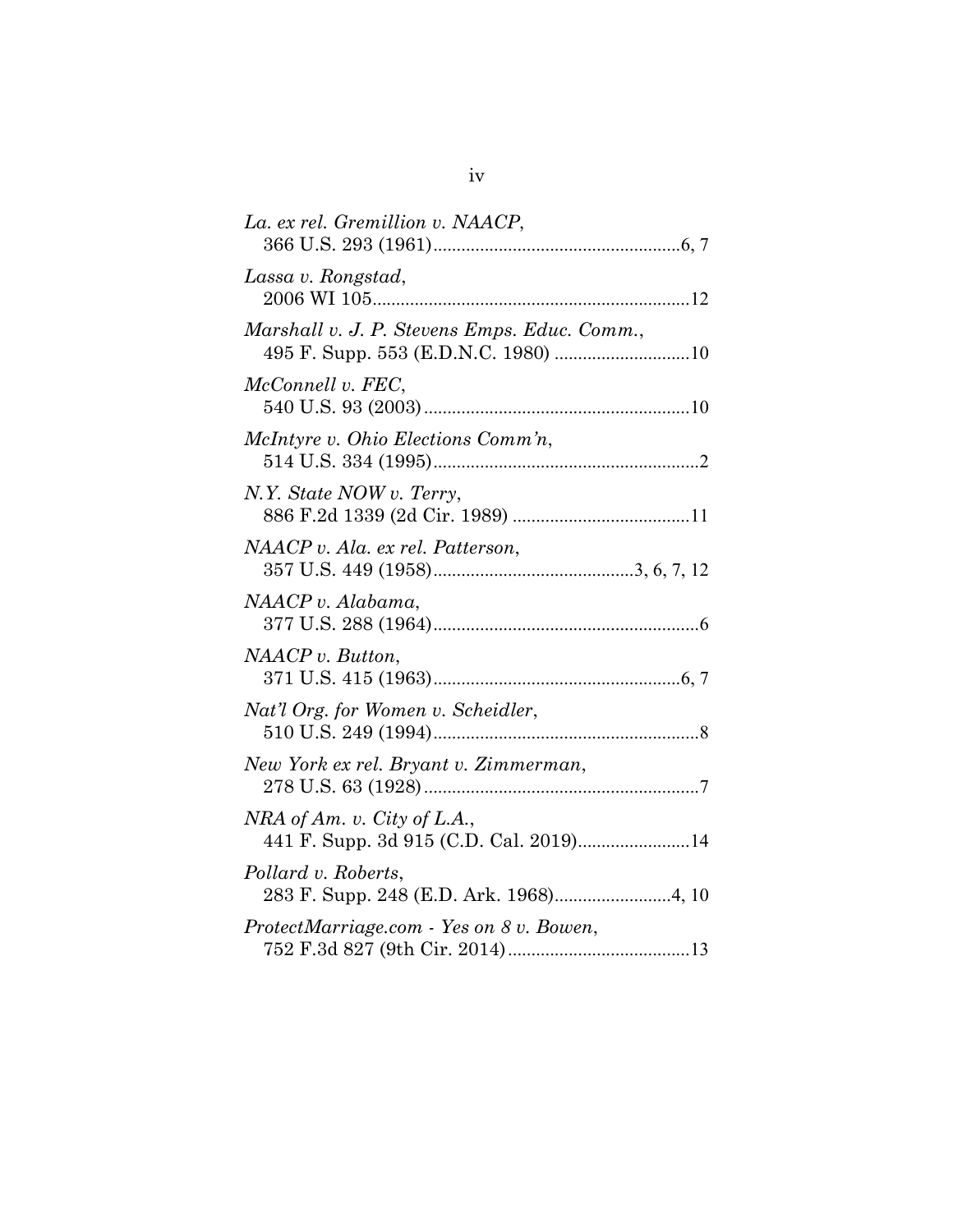| La. ex rel. Gremillion v. NAACP,                                      |
|-----------------------------------------------------------------------|
| Lassa v. Rongstad,                                                    |
| Marshall v. J. P. Stevens Emps. Educ. Comm.,                          |
| McConnell v. FEC,                                                     |
| McIntyre v. Ohio Elections Comm'n,                                    |
| N.Y. State NOW v. Terry,                                              |
| NAACP v. Ala. ex rel. Patterson,                                      |
| NAACP v. Alabama,                                                     |
| NAACP v. But ton,                                                     |
| Nat'l Org. for Women v. Scheidler,                                    |
| New York ex rel. Bryant v. Zimmerman,                                 |
| NRA of Am. v. City of L.A.,<br>441 F. Supp. 3d 915 (C.D. Cal. 2019)14 |
| Pollard v. Roberts,                                                   |
| ProtectMarriage.com - Yes on 8 v. Bowen,                              |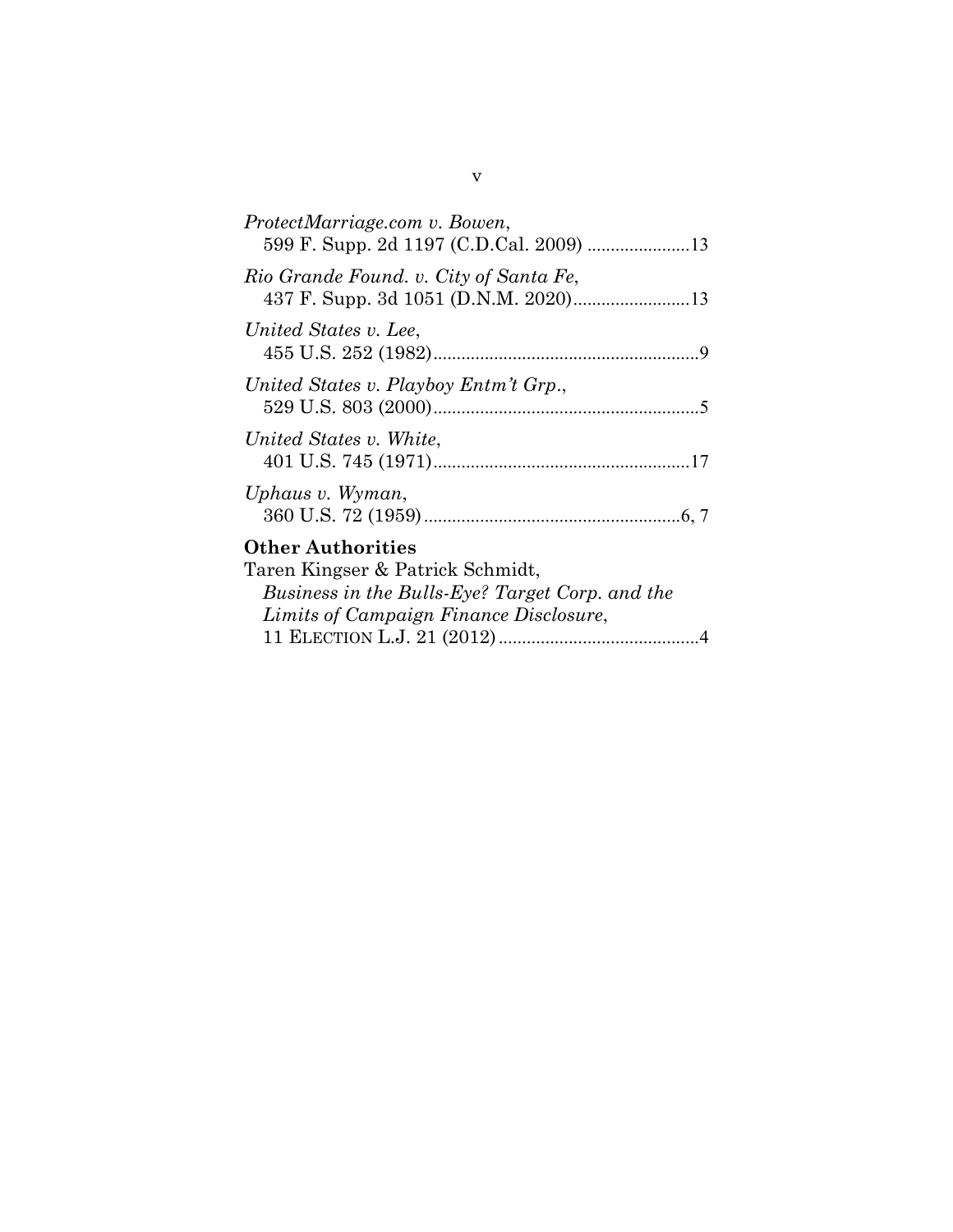| ProtectMarriage.com v. Bowen,                                                                                                                             |
|-----------------------------------------------------------------------------------------------------------------------------------------------------------|
| Rio Grande Found. v. City of Santa Fe,                                                                                                                    |
| United States v. Lee,                                                                                                                                     |
| United States v. Playboy Entm't Grp.,                                                                                                                     |
| United States v. White.                                                                                                                                   |
| Uphaus v. Wyman,                                                                                                                                          |
| <b>Other Authorities</b><br>Taren Kingser & Patrick Schmidt,<br>Business in the Bulls-Eye? Target Corp. and the<br>Limits of Campaign Finance Disclosure, |

11 ELECTION L.J. 21 (2012)...........................................4

v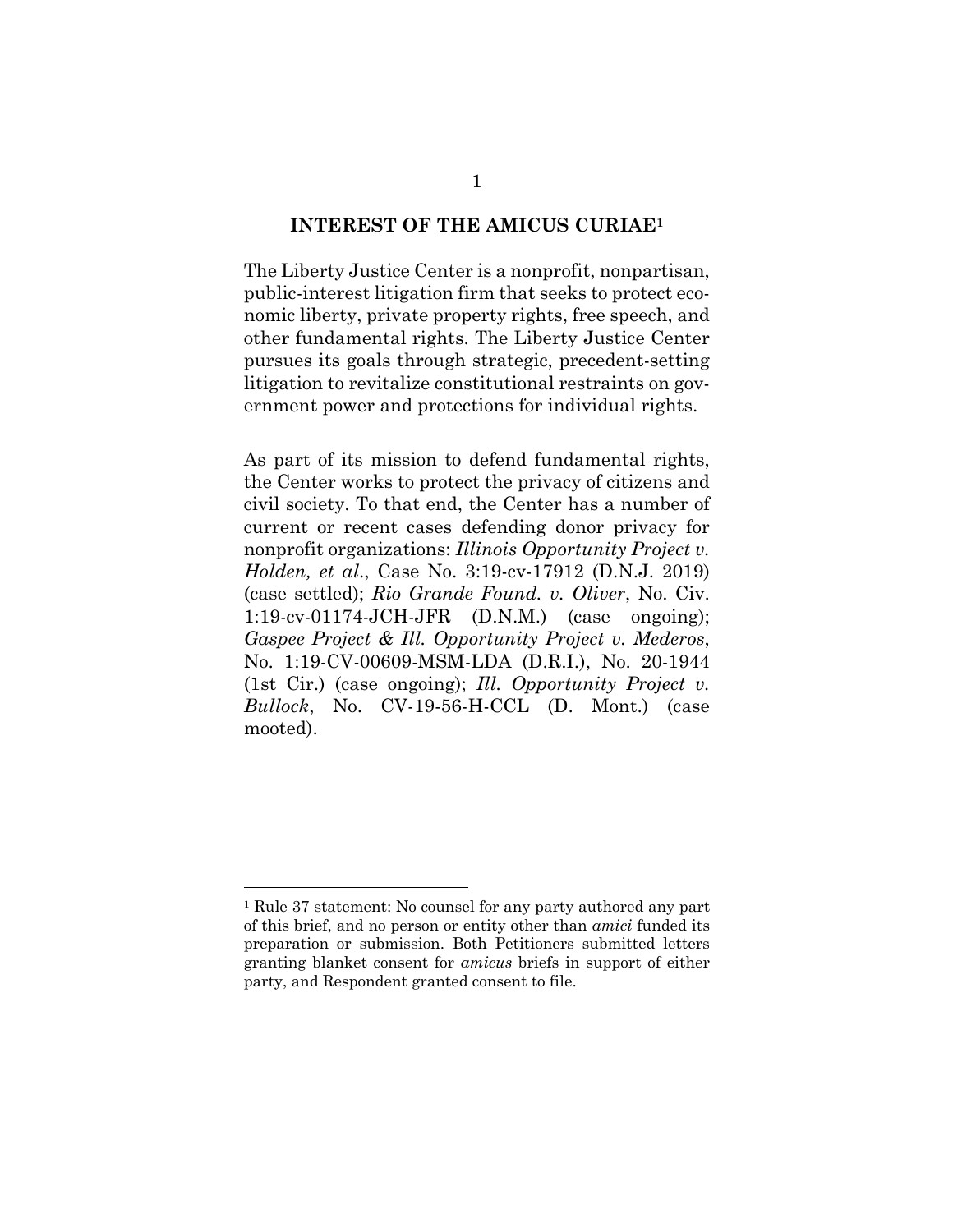#### **INTEREST OF THE AMICUS CURIAE1**

The Liberty Justice Center is a nonprofit, nonpartisan, public-interest litigation firm that seeks to protect economic liberty, private property rights, free speech, and other fundamental rights. The Liberty Justice Center pursues its goals through strategic, precedent-setting litigation to revitalize constitutional restraints on government power and protections for individual rights.

As part of its mission to defend fundamental rights, the Center works to protect the privacy of citizens and civil society. To that end, the Center has a number of current or recent cases defending donor privacy for nonprofit organizations: *Illinois Opportunity Project v. Holden, et al*., Case No. 3:19-cv-17912 (D.N.J. 2019) (case settled); *Rio Grande Found. v. Oliver*, No. Civ. 1:19-cv-01174-JCH-JFR (D.N.M.) (case ongoing); *Gaspee Project & Ill. Opportunity Project v. Mederos*, No. 1:19-CV-00609-MSM-LDA (D.R.I.), No. 20-1944 (1st Cir.) (case ongoing); *Ill. Opportunity Project v. Bullock*, No. CV-19-56-H-CCL (D. Mont.) (case mooted).

<sup>1</sup> Rule 37 statement: No counsel for any party authored any part of this brief, and no person or entity other than *amici* funded its preparation or submission. Both Petitioners submitted letters granting blanket consent for *amicus* briefs in support of either party, and Respondent granted consent to file.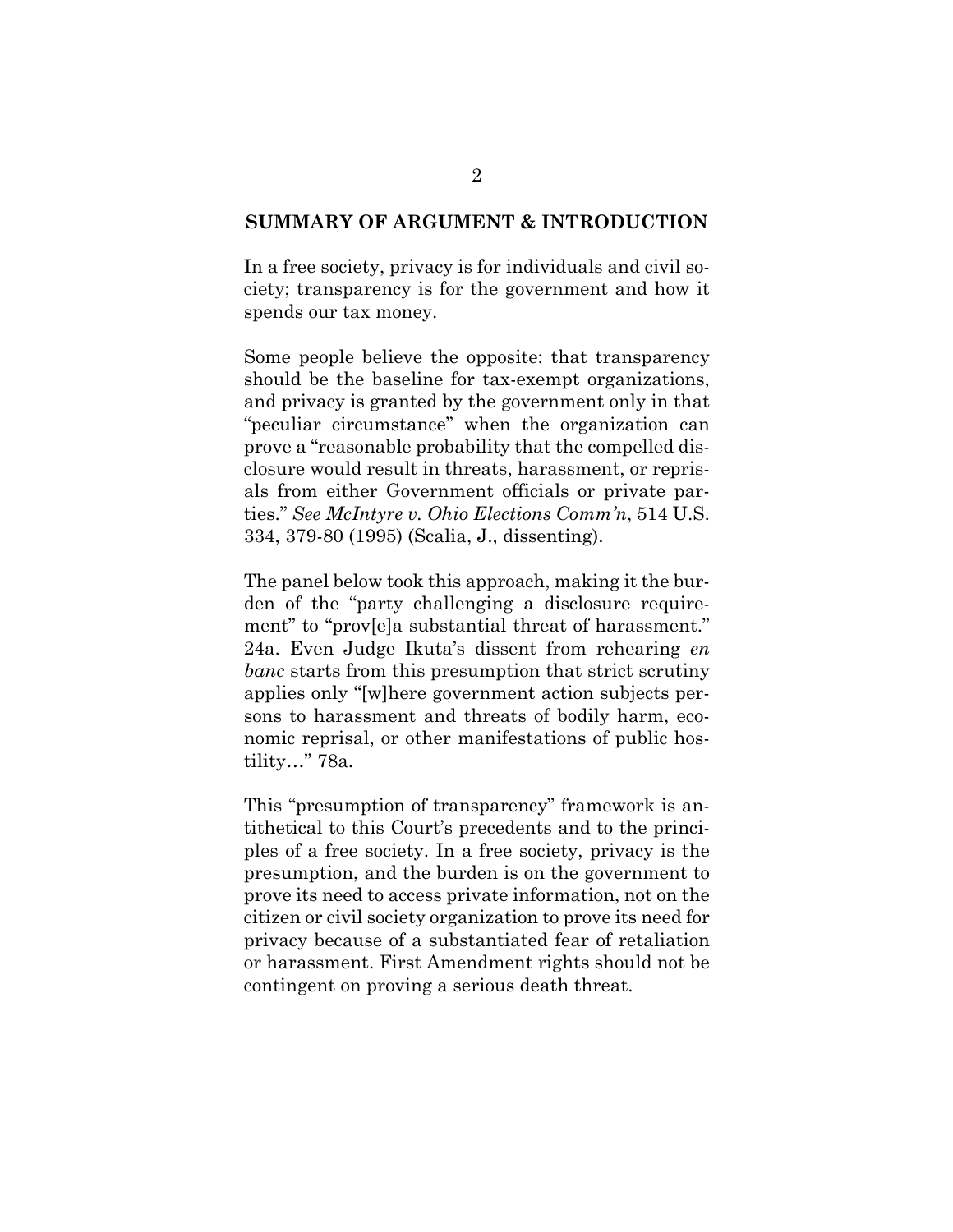#### **SUMMARY OF ARGUMENT & INTRODUCTION**

In a free society, privacy is for individuals and civil society; transparency is for the government and how it spends our tax money.

Some people believe the opposite: that transparency should be the baseline for tax-exempt organizations, and privacy is granted by the government only in that "peculiar circumstance" when the organization can prove a "reasonable probability that the compelled disclosure would result in threats, harassment, or reprisals from either Government officials or private parties." *See McIntyre v. Ohio Elections Comm'n*, 514 U.S. 334, 379-80 (1995) (Scalia, J., dissenting).

The panel below took this approach, making it the burden of the "party challenging a disclosure requirement" to "prov[e]a substantial threat of harassment." 24a. Even Judge Ikuta's dissent from rehearing *en banc* starts from this presumption that strict scrutiny applies only "[w]here government action subjects persons to harassment and threats of bodily harm, economic reprisal, or other manifestations of public hostility…" 78a.

This "presumption of transparency" framework is antithetical to this Court's precedents and to the principles of a free society. In a free society, privacy is the presumption, and the burden is on the government to prove its need to access private information, not on the citizen or civil society organization to prove its need for privacy because of a substantiated fear of retaliation or harassment. First Amendment rights should not be contingent on proving a serious death threat.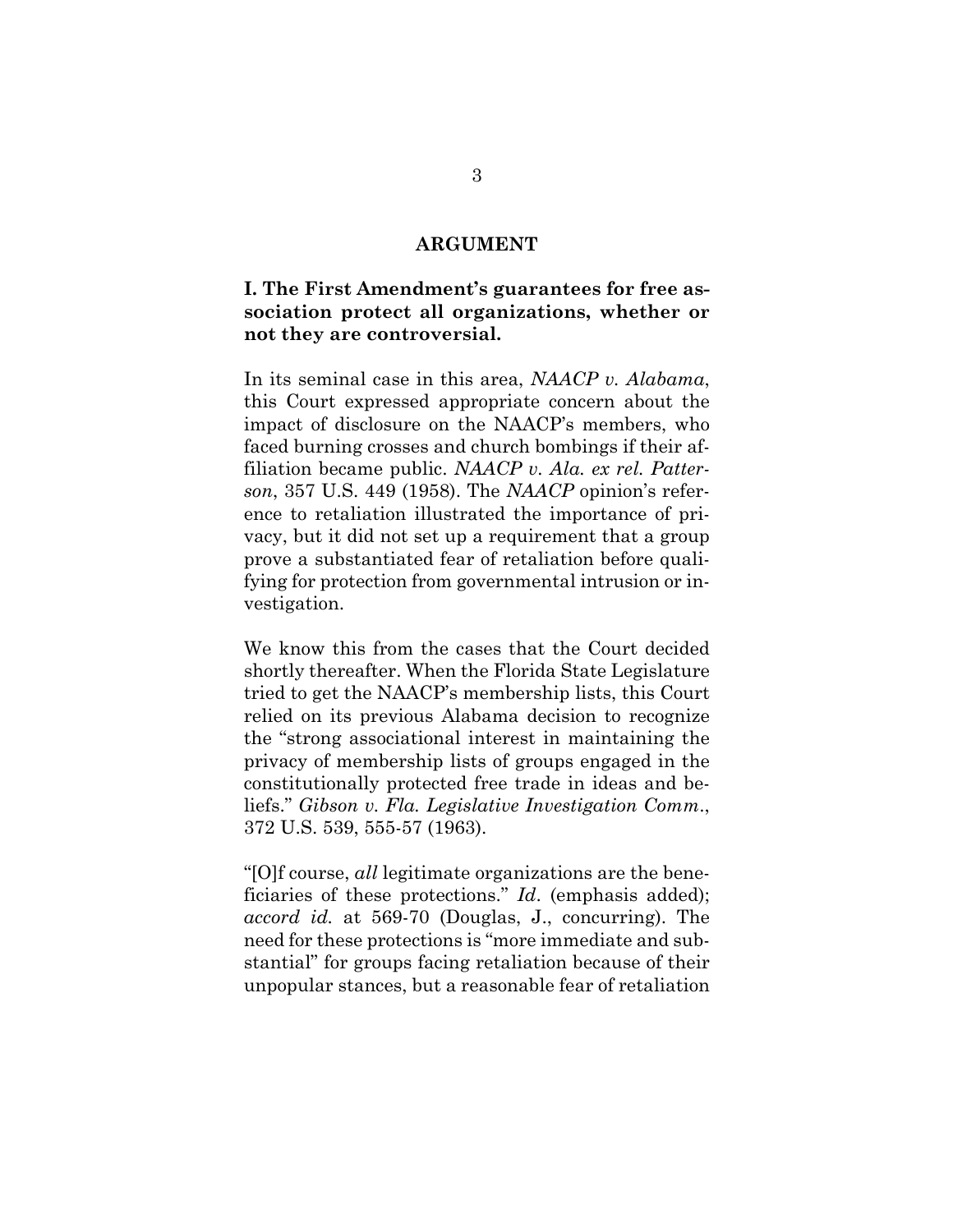#### **ARGUMENT**

# **I. The First Amendment's guarantees for free association protect all organizations, whether or not they are controversial.**

In its seminal case in this area, *NAACP v. Alabama*, this Court expressed appropriate concern about the impact of disclosure on the NAACP's members, who faced burning crosses and church bombings if their affiliation became public. *NAACP v. Ala. ex rel. Patterson*, 357 U.S. 449 (1958). The *NAACP* opinion's reference to retaliation illustrated the importance of privacy, but it did not set up a requirement that a group prove a substantiated fear of retaliation before qualifying for protection from governmental intrusion or investigation.

We know this from the cases that the Court decided shortly thereafter. When the Florida State Legislature tried to get the NAACP's membership lists, this Court relied on its previous Alabama decision to recognize the "strong associational interest in maintaining the privacy of membership lists of groups engaged in the constitutionally protected free trade in ideas and beliefs." *Gibson v. Fla. Legislative Investigation Comm*., 372 U.S. 539, 555-57 (1963).

"[O]f course, *all* legitimate organizations are the beneficiaries of these protections." *Id*. (emphasis added); *accord id.* at 569-70 (Douglas, J., concurring). The need for these protections is "more immediate and substantial" for groups facing retaliation because of their unpopular stances, but a reasonable fear of retaliation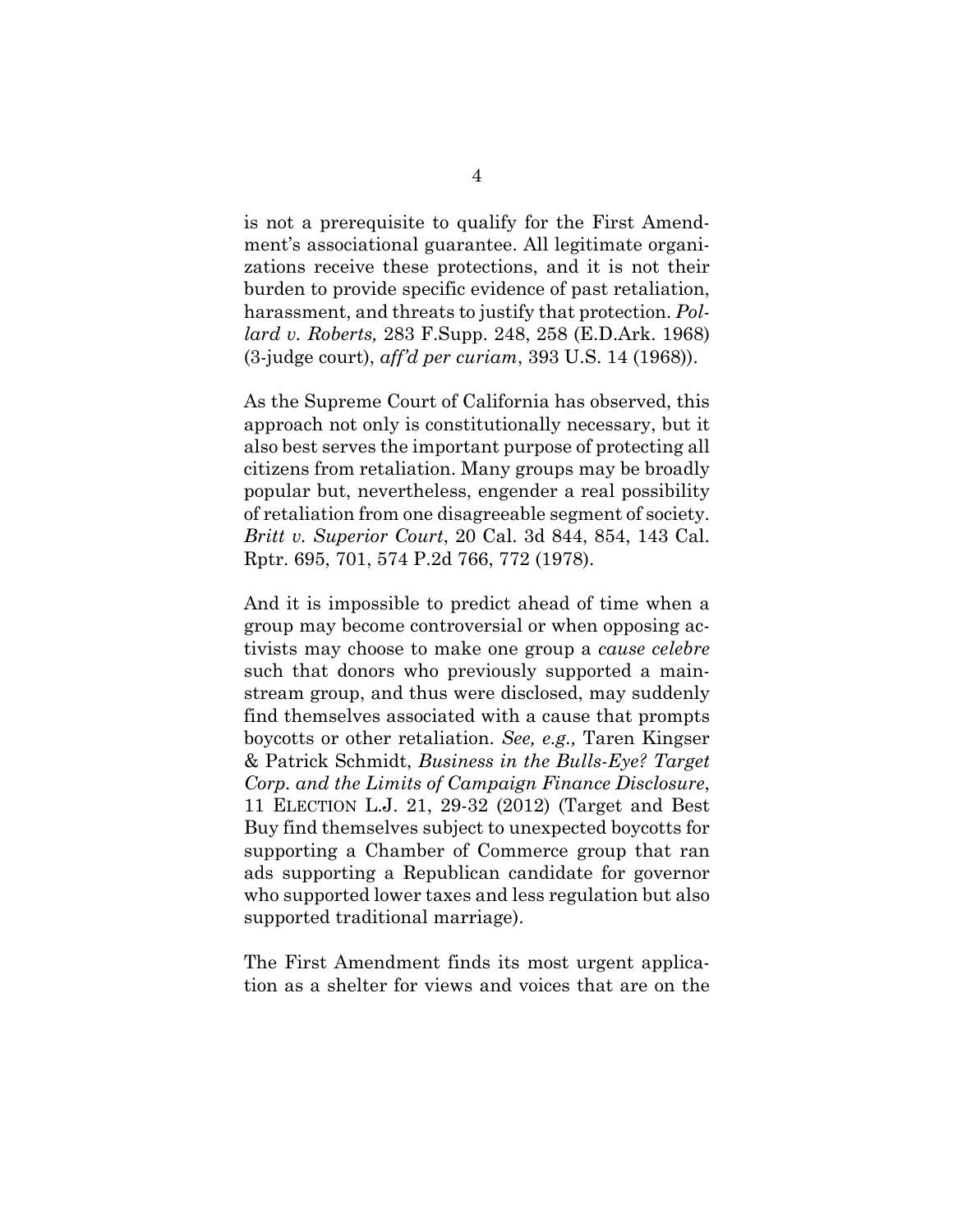is not a prerequisite to qualify for the First Amendment's associational guarantee. All legitimate organizations receive these protections, and it is not their burden to provide specific evidence of past retaliation, harassment, and threats to justify that protection. *Pollard v. Roberts,* 283 F.Supp. 248, 258 (E.D.Ark. 1968) (3-judge court), *aff'd per curiam*, 393 U.S. 14 (1968)).

As the Supreme Court of California has observed, this approach not only is constitutionally necessary, but it also best serves the important purpose of protecting all citizens from retaliation. Many groups may be broadly popular but, nevertheless, engender a real possibility of retaliation from one disagreeable segment of society. *Britt v. Superior Court*, 20 Cal. 3d 844, 854, 143 Cal. Rptr. 695, 701, 574 P.2d 766, 772 (1978).

And it is impossible to predict ahead of time when a group may become controversial or when opposing activists may choose to make one group a *cause celebre* such that donors who previously supported a mainstream group, and thus were disclosed, may suddenly find themselves associated with a cause that prompts boycotts or other retaliation. *See, e.g.,* Taren Kingser & Patrick Schmidt, *Business in the Bulls-Eye? Target Corp. and the Limits of Campaign Finance Disclosure*, 11 ELECTION L.J. 21, 29-32 (2012) (Target and Best Buy find themselves subject to unexpected boycotts for supporting a Chamber of Commerce group that ran ads supporting a Republican candidate for governor who supported lower taxes and less regulation but also supported traditional marriage).

The First Amendment finds its most urgent application as a shelter for views and voices that are on the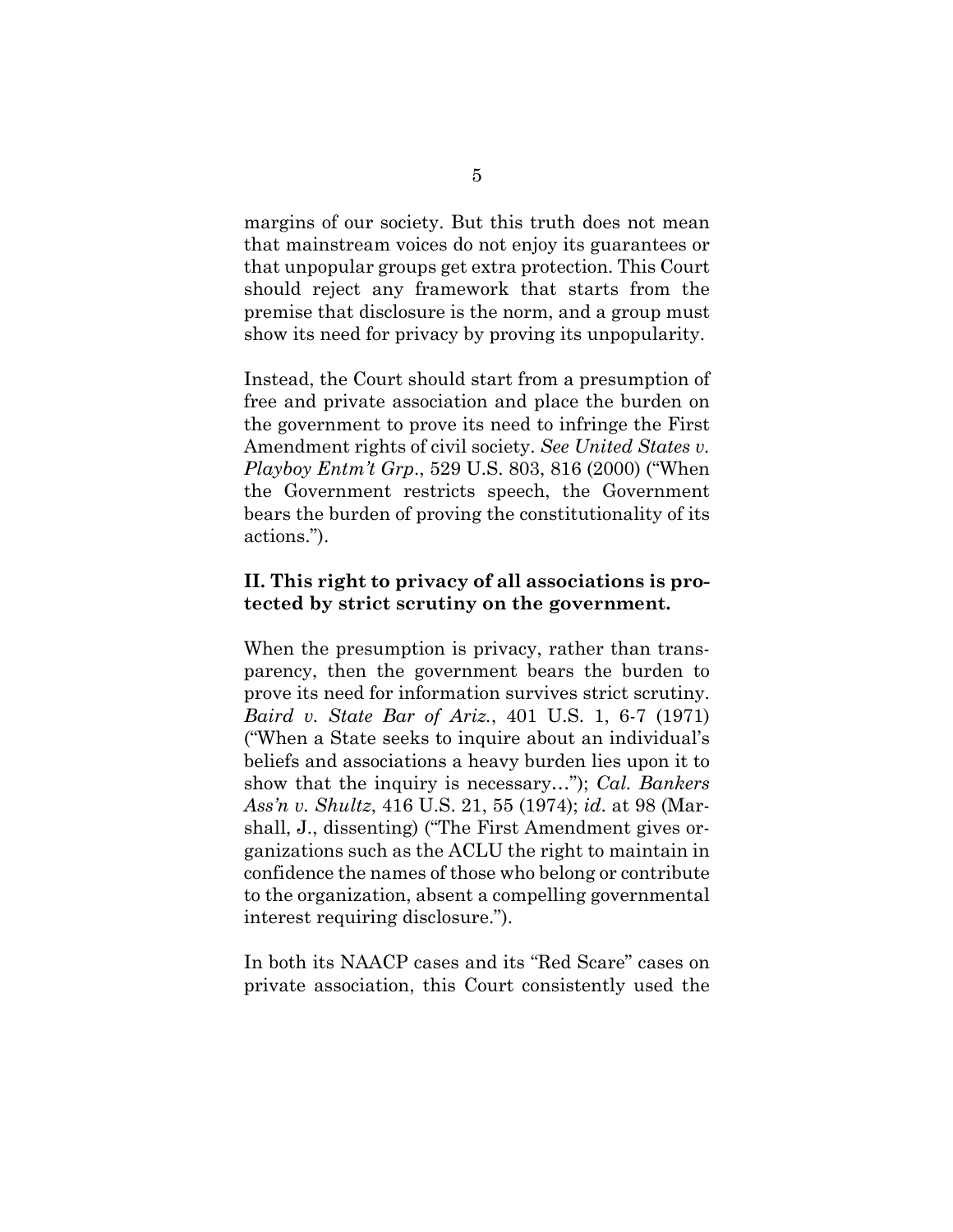margins of our society. But this truth does not mean that mainstream voices do not enjoy its guarantees or that unpopular groups get extra protection. This Court should reject any framework that starts from the premise that disclosure is the norm, and a group must show its need for privacy by proving its unpopularity.

Instead, the Court should start from a presumption of free and private association and place the burden on the government to prove its need to infringe the First Amendment rights of civil society. *See United States v. Playboy Entm't Grp*., 529 U.S. 803, 816 (2000) ("When the Government restricts speech, the Government bears the burden of proving the constitutionality of its actions.").

## **II. This right to privacy of all associations is protected by strict scrutiny on the government.**

When the presumption is privacy, rather than transparency, then the government bears the burden to prove its need for information survives strict scrutiny. *Baird v. State Bar of Ariz.*, 401 U.S. 1, 6-7 (1971) ("When a State seeks to inquire about an individual's beliefs and associations a heavy burden lies upon it to show that the inquiry is necessary…"); *Cal. Bankers Ass'n v. Shultz*, 416 U.S. 21, 55 (1974); *id*. at 98 (Marshall, J., dissenting) ("The First Amendment gives organizations such as the ACLU the right to maintain in confidence the names of those who belong or contribute to the organization, absent a compelling governmental interest requiring disclosure.").

In both its NAACP cases and its "Red Scare" cases on private association, this Court consistently used the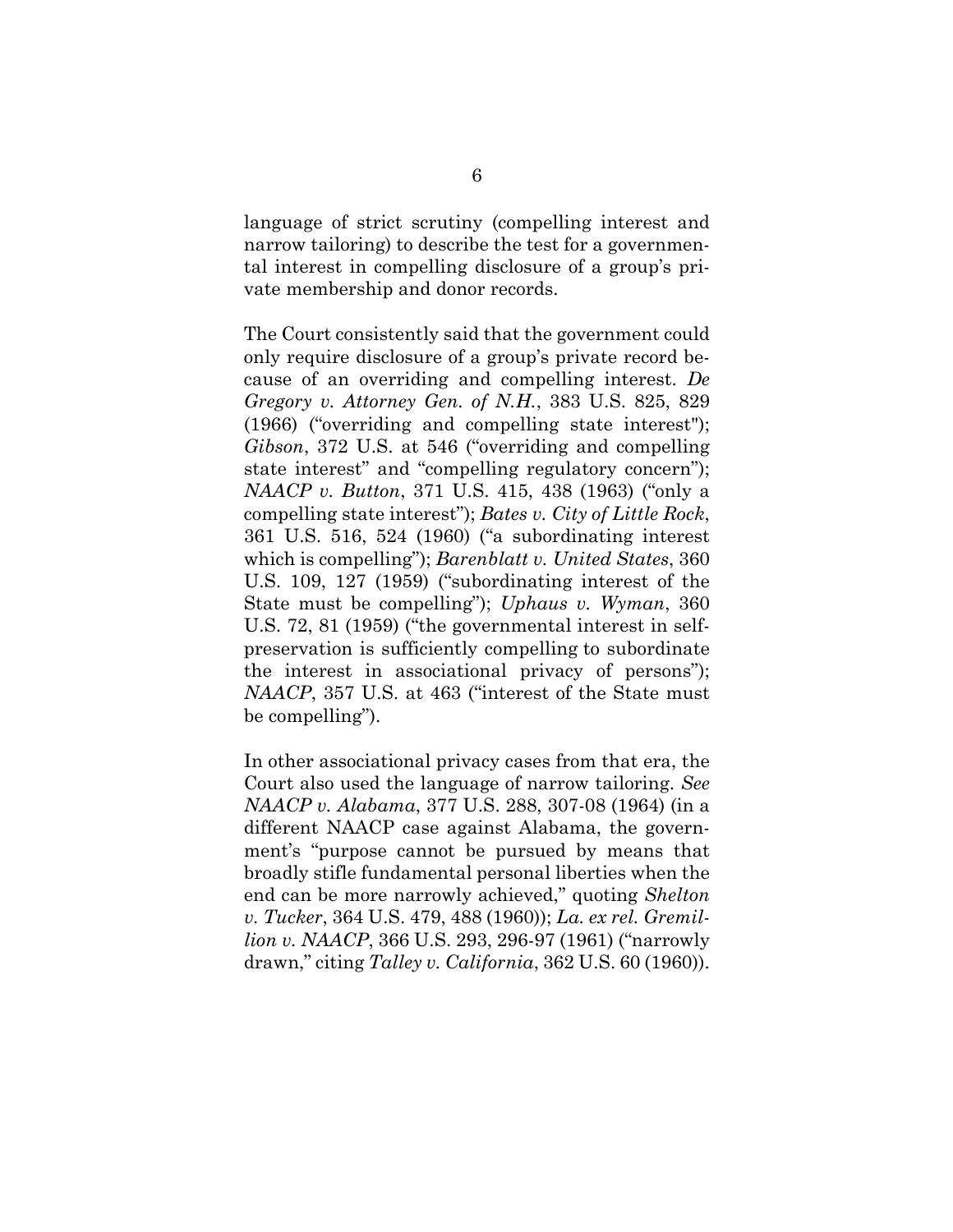language of strict scrutiny (compelling interest and narrow tailoring) to describe the test for a governmental interest in compelling disclosure of a group's private membership and donor records.

The Court consistently said that the government could only require disclosure of a group's private record because of an overriding and compelling interest. *De Gregory v. Attorney Gen. of N.H.*, 383 U.S. 825, 829 (1966) ("overriding and compelling state interest"); *Gibson*, 372 U.S. at 546 ("overriding and compelling state interest" and "compelling regulatory concern"); *NAACP v. Button*, 371 U.S. 415, 438 (1963) ("only a compelling state interest"); *Bates v. City of Little Rock*, 361 U.S. 516, 524 (1960) ("a subordinating interest which is compelling"); *Barenblatt v. United States*, 360 U.S. 109, 127 (1959) ("subordinating interest of the State must be compelling"); *Uphaus v. Wyman*, 360 U.S. 72, 81 (1959) ("the governmental interest in selfpreservation is sufficiently compelling to subordinate the interest in associational privacy of persons"); *NAACP*, 357 U.S. at 463 ("interest of the State must be compelling").

In other associational privacy cases from that era, the Court also used the language of narrow tailoring. *See NAACP v. Alabama*, 377 U.S. 288, 307-08 (1964) (in a different NAACP case against Alabama, the government's "purpose cannot be pursued by means that broadly stifle fundamental personal liberties when the end can be more narrowly achieved," quoting *Shelton v. Tucker*, 364 U.S. 479, 488 (1960)); *La. ex rel. Gremillion v. NAACP*, 366 U.S. 293, 296-97 (1961) ("narrowly drawn," citing *Talley v. California*, 362 U.S. 60 (1960)).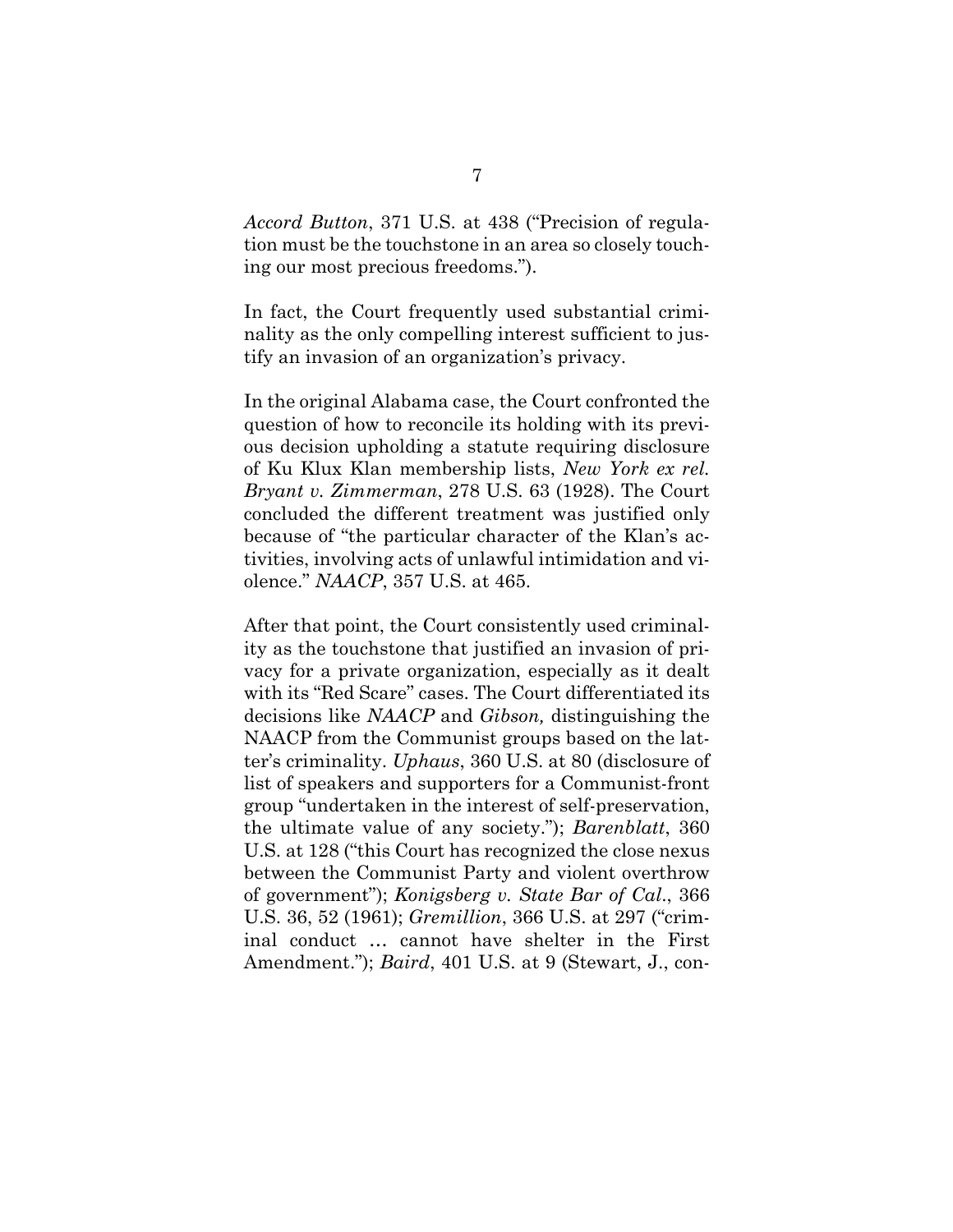*Accord Button*, 371 U.S. at 438 ("Precision of regulation must be the touchstone in an area so closely touching our most precious freedoms.").

In fact, the Court frequently used substantial criminality as the only compelling interest sufficient to justify an invasion of an organization's privacy.

In the original Alabama case, the Court confronted the question of how to reconcile its holding with its previous decision upholding a statute requiring disclosure of Ku Klux Klan membership lists, *New York ex rel. Bryant v. Zimmerman*, 278 U.S. 63 (1928). The Court concluded the different treatment was justified only because of "the particular character of the Klan's activities, involving acts of unlawful intimidation and violence." *NAACP*, 357 U.S. at 465.

After that point, the Court consistently used criminality as the touchstone that justified an invasion of privacy for a private organization, especially as it dealt with its "Red Scare" cases. The Court differentiated its decisions like *NAACP* and *Gibson,* distinguishing the NAACP from the Communist groups based on the latter's criminality. *Uphaus*, 360 U.S. at 80 (disclosure of list of speakers and supporters for a Communist-front group "undertaken in the interest of self-preservation, the ultimate value of any society."); *Barenblatt*, 360 U.S. at 128 ("this Court has recognized the close nexus between the Communist Party and violent overthrow of government"); *Konigsberg v. State Bar of Cal*., 366 U.S. 36, 52 (1961); *Gremillion*, 366 U.S. at 297 ("criminal conduct … cannot have shelter in the First Amendment."); *Baird*, 401 U.S. at 9 (Stewart, J., con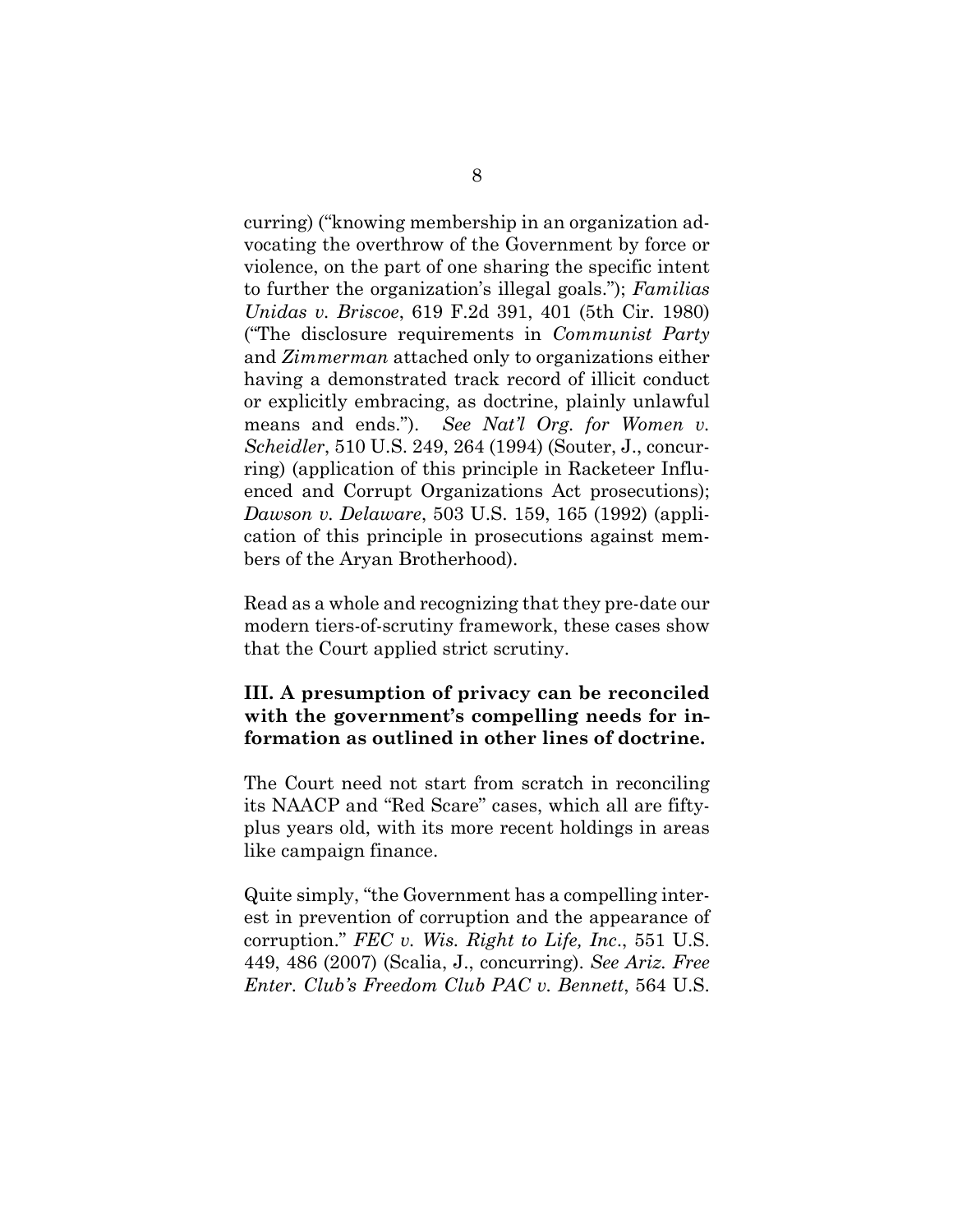curring) ("knowing membership in an organization advocating the overthrow of the Government by force or violence, on the part of one sharing the specific intent to further the organization's illegal goals."); *Familias Unidas v. Briscoe*, 619 F.2d 391, 401 (5th Cir. 1980) ("The disclosure requirements in *Communist Party* and *Zimmerman* attached only to organizations either having a demonstrated track record of illicit conduct or explicitly embracing, as doctrine, plainly unlawful means and ends."). *See Nat'l Org. for Women v. Scheidler*, 510 U.S. 249, 264 (1994) (Souter, J., concurring) (application of this principle in Racketeer Influenced and Corrupt Organizations Act prosecutions); *Dawson v. Delaware*, 503 U.S. 159, 165 (1992) (application of this principle in prosecutions against members of the Aryan Brotherhood).

Read as a whole and recognizing that they pre-date our modern tiers-of-scrutiny framework, these cases show that the Court applied strict scrutiny.

## **III. A presumption of privacy can be reconciled with the government's compelling needs for information as outlined in other lines of doctrine.**

The Court need not start from scratch in reconciling its NAACP and "Red Scare" cases, which all are fiftyplus years old, with its more recent holdings in areas like campaign finance.

Quite simply, "the Government has a compelling interest in prevention of corruption and the appearance of corruption." *FEC v. Wis. Right to Life, Inc*., 551 U.S. 449, 486 (2007) (Scalia, J., concurring). *See Ariz. Free Enter. Club's Freedom Club PAC v. Bennett*, 564 U.S.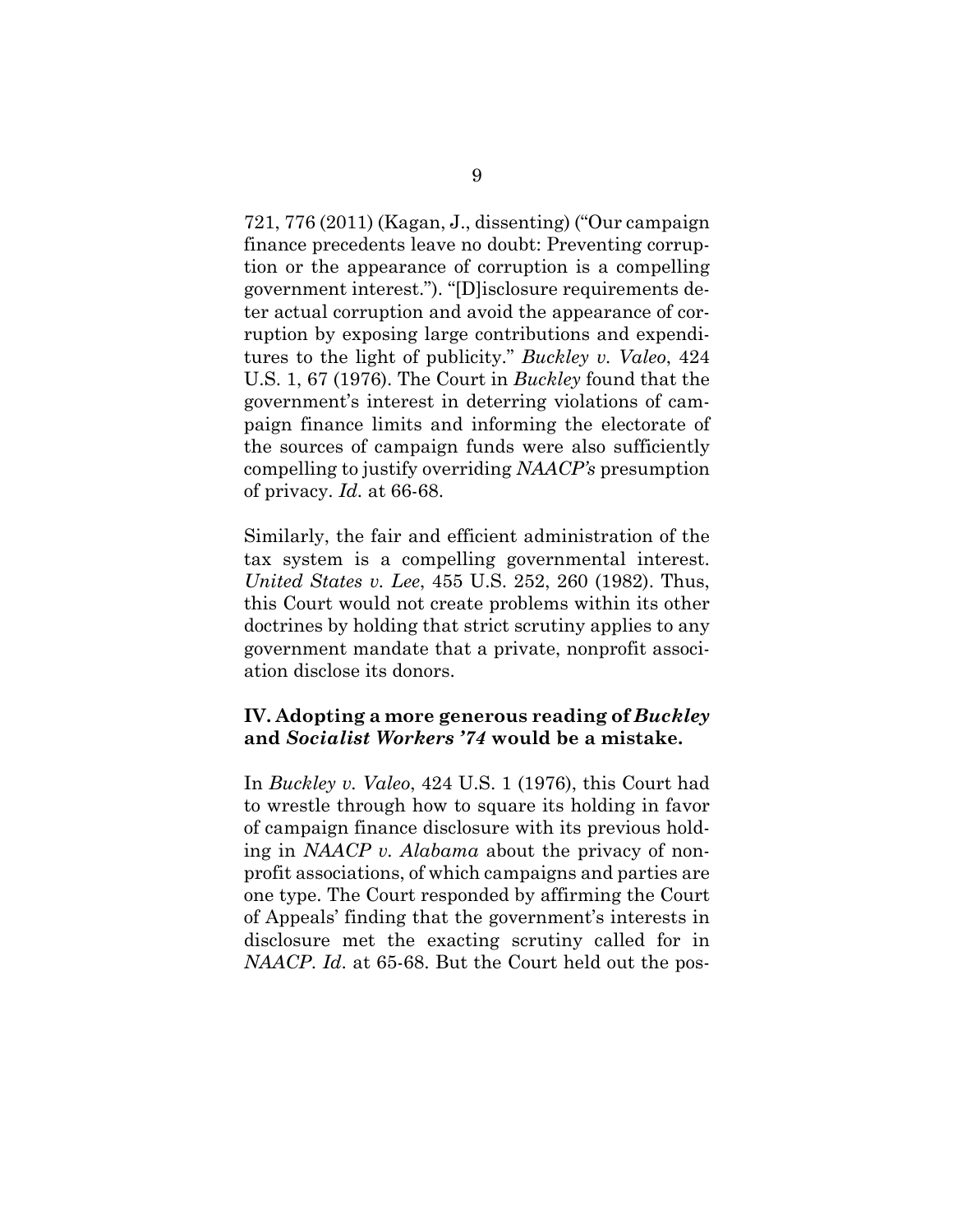721, 776 (2011) (Kagan, J., dissenting) ("Our campaign finance precedents leave no doubt: Preventing corruption or the appearance of corruption is a compelling government interest."). "[D]isclosure requirements deter actual corruption and avoid the appearance of corruption by exposing large contributions and expenditures to the light of publicity." *Buckley v. Valeo*, 424 U.S. 1, 67 (1976). The Court in *Buckley* found that the government's interest in deterring violations of campaign finance limits and informing the electorate of the sources of campaign funds were also sufficiently compelling to justify overriding *NAACP's* presumption of privacy. *Id.* at 66-68.

Similarly, the fair and efficient administration of the tax system is a compelling governmental interest. *United States v. Lee*, 455 U.S. 252, 260 (1982). Thus, this Court would not create problems within its other doctrines by holding that strict scrutiny applies to any government mandate that a private, nonprofit association disclose its donors.

## **IV. Adopting a more generous reading of** *Buckley*  **and** *Socialist Workers '74* **would be a mistake.**

In *Buckley v. Valeo*, 424 U.S. 1 (1976), this Court had to wrestle through how to square its holding in favor of campaign finance disclosure with its previous holding in *NAACP v. Alabama* about the privacy of nonprofit associations, of which campaigns and parties are one type. The Court responded by affirming the Court of Appeals' finding that the government's interests in disclosure met the exacting scrutiny called for in *NAACP*. *Id*. at 65-68. But the Court held out the pos-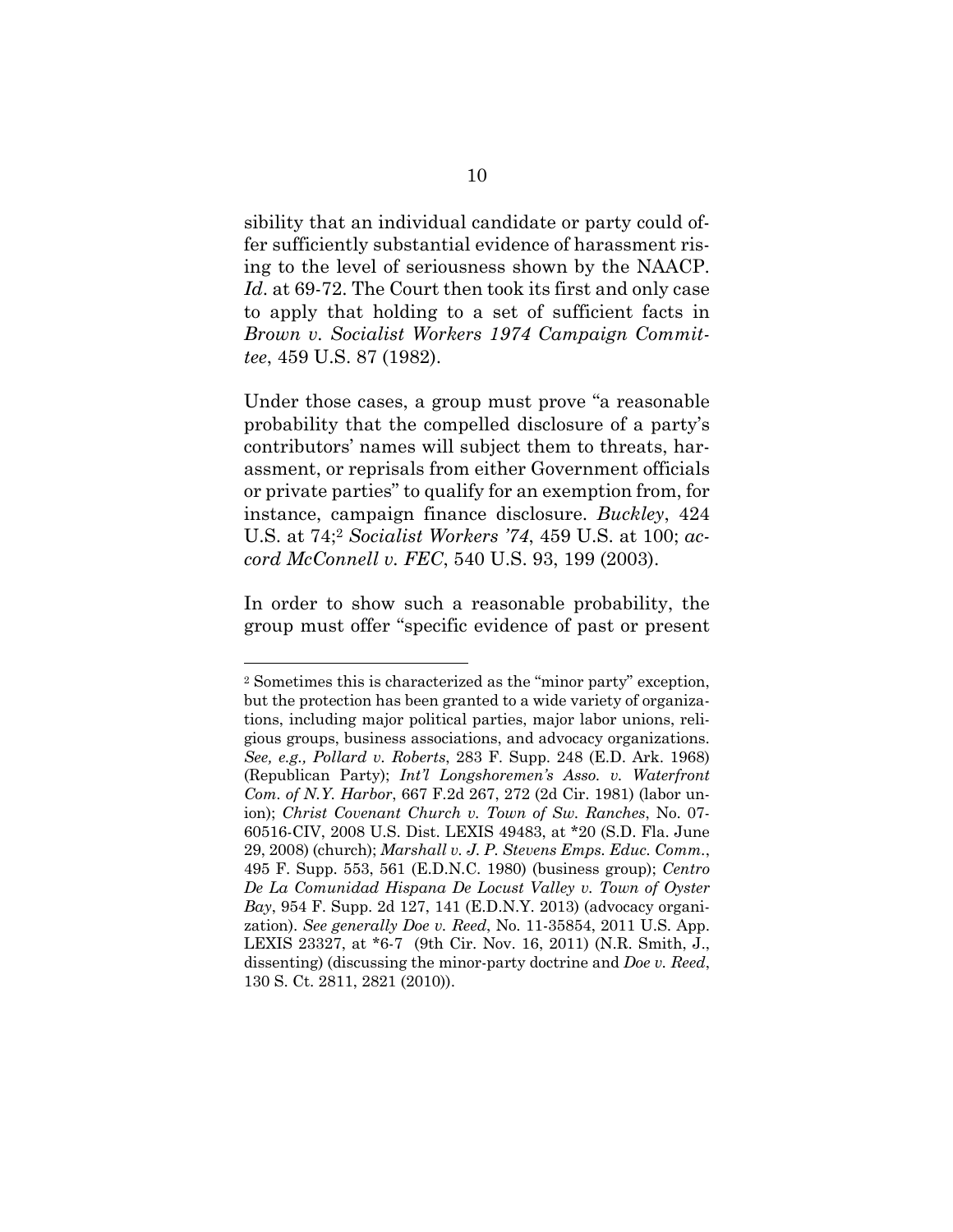sibility that an individual candidate or party could offer sufficiently substantial evidence of harassment rising to the level of seriousness shown by the NAACP. *Id*. at 69-72. The Court then took its first and only case to apply that holding to a set of sufficient facts in *Brown v. Socialist Workers 1974 Campaign Committee*, 459 U.S. 87 (1982).

Under those cases, a group must prove "a reasonable probability that the compelled disclosure of a party's contributors' names will subject them to threats, harassment, or reprisals from either Government officials or private parties" to qualify for an exemption from, for instance, campaign finance disclosure. *Buckley*, 424 U.S. at 74;2 *Socialist Workers '74*, 459 U.S. at 100; *accord McConnell v. FEC*, 540 U.S. 93, 199 (2003).

In order to show such a reasonable probability, the group must offer "specific evidence of past or present

<sup>2</sup> Sometimes this is characterized as the "minor party" exception, but the protection has been granted to a wide variety of organizations, including major political parties, major labor unions, religious groups, business associations, and advocacy organizations. *See, e.g., Pollard v. Roberts*, 283 F. Supp. 248 (E.D. Ark. 1968) (Republican Party); *Int'l Longshoremen's Asso. v. Waterfront Com. of N.Y. Harbor*, 667 F.2d 267, 272 (2d Cir. 1981) (labor union); *Christ Covenant Church v. Town of Sw. Ranches*, No. 07- 60516-CIV, 2008 U.S. Dist. LEXIS 49483, at \*20 (S.D. Fla. June 29, 2008) (church); *Marshall v. J. P. Stevens Emps. Educ. Comm.*, 495 F. Supp. 553, 561 (E.D.N.C. 1980) (business group); *Centro De La Comunidad Hispana De Locust Valley v. Town of Oyster Bay*, 954 F. Supp. 2d 127, 141 (E.D.N.Y. 2013) (advocacy organization). *See generally Doe v. Reed*, No. 11-35854, 2011 U.S. App. LEXIS 23327, at \*6-7 (9th Cir. Nov. 16, 2011) (N.R. Smith, J., dissenting) (discussing the minor-party doctrine and *Doe v. Reed*, 130 S. Ct. 2811, 2821 (2010)).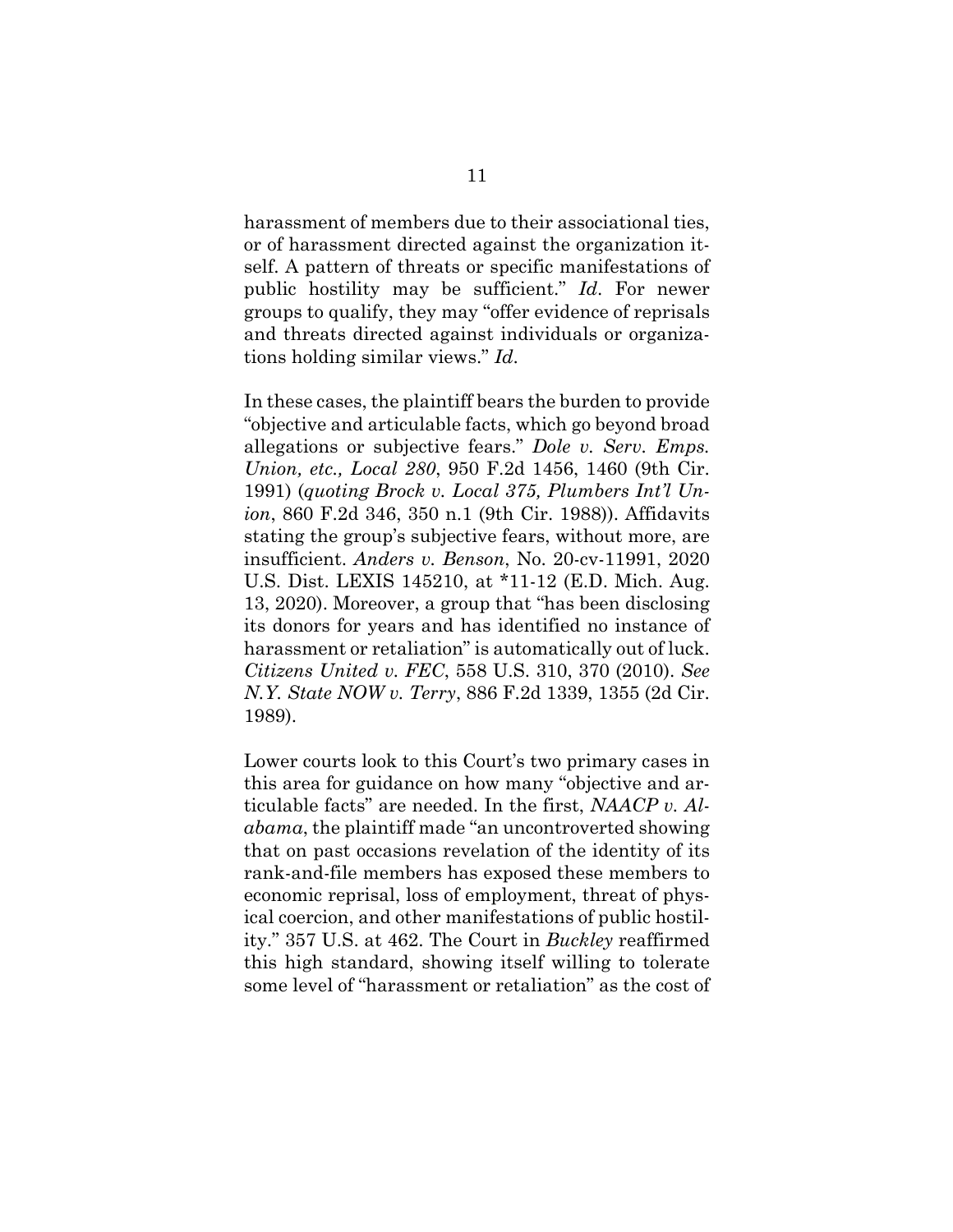harassment of members due to their associational ties, or of harassment directed against the organization itself. A pattern of threats or specific manifestations of public hostility may be sufficient." *Id*. For newer groups to qualify, they may "offer evidence of reprisals and threats directed against individuals or organizations holding similar views." *Id*.

In these cases, the plaintiff bears the burden to provide "objective and articulable facts, which go beyond broad allegations or subjective fears." *Dole v. Serv. Emps. Union, etc., Local 280*, 950 F.2d 1456, 1460 (9th Cir. 1991) (*quoting Brock v. Local 375, Plumbers Int'l Union*, 860 F.2d 346, 350 n.1 (9th Cir. 1988)). Affidavits stating the group's subjective fears, without more, are insufficient. *Anders v. Benson*, No. 20-cv-11991, 2020 U.S. Dist. LEXIS 145210, at \*11-12 (E.D. Mich. Aug. 13, 2020). Moreover, a group that "has been disclosing its donors for years and has identified no instance of harassment or retaliation" is automatically out of luck. *Citizens United v. FEC*, 558 U.S. 310, 370 (2010). *See N.Y. State NOW v. Terry*, 886 F.2d 1339, 1355 (2d Cir. 1989).

Lower courts look to this Court's two primary cases in this area for guidance on how many "objective and articulable facts" are needed. In the first, *NAACP v. Alabama*, the plaintiff made "an uncontroverted showing that on past occasions revelation of the identity of its rank-and-file members has exposed these members to economic reprisal, loss of employment, threat of physical coercion, and other manifestations of public hostility." 357 U.S. at 462. The Court in *Buckley* reaffirmed this high standard, showing itself willing to tolerate some level of "harassment or retaliation" as the cost of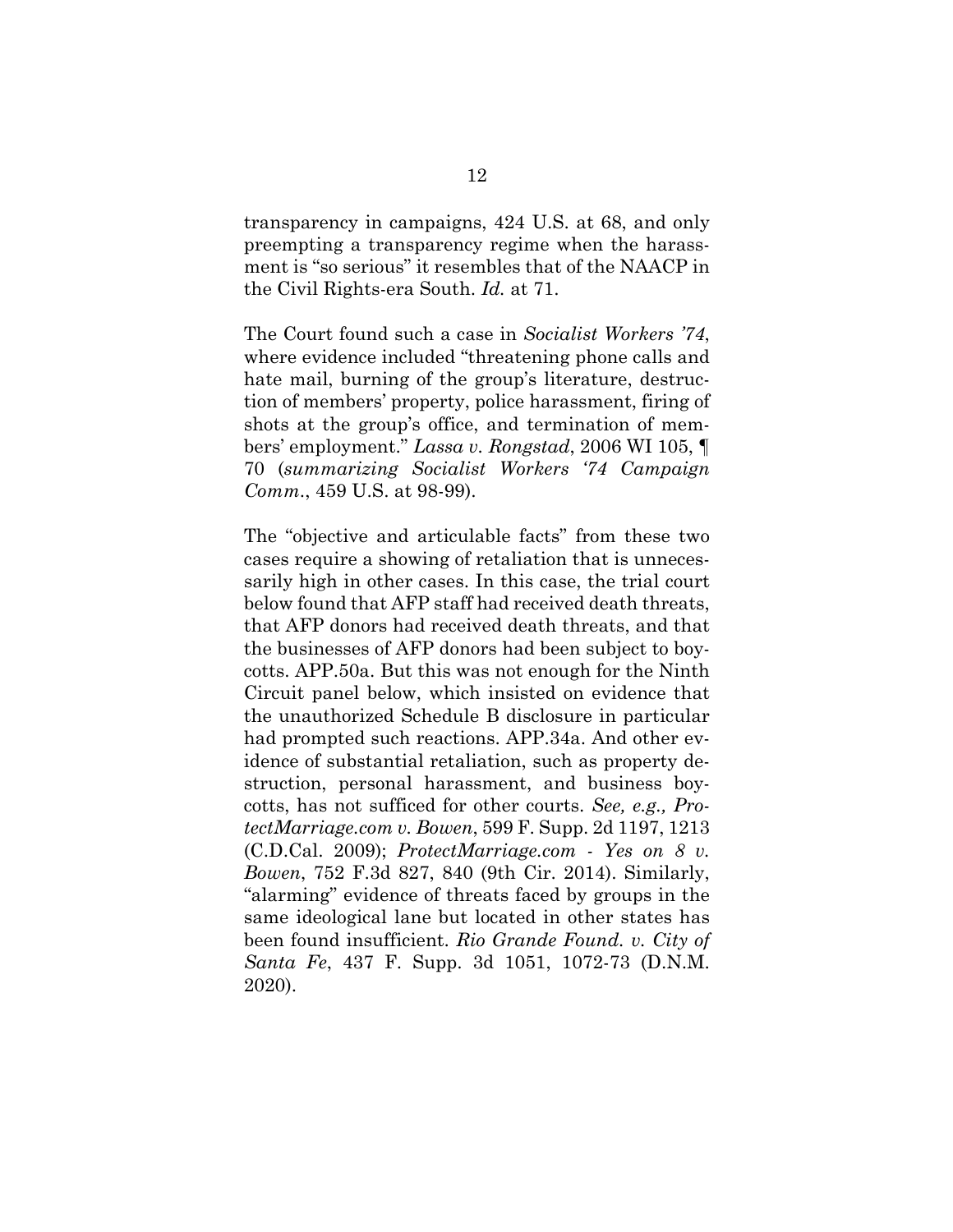transparency in campaigns, 424 U.S. at 68, and only preempting a transparency regime when the harassment is "so serious" it resembles that of the NAACP in the Civil Rights-era South. *Id.* at 71.

The Court found such a case in *Socialist Workers '74*, where evidence included "threatening phone calls and hate mail, burning of the group's literature, destruction of members' property, police harassment, firing of shots at the group's office, and termination of members' employment." *Lassa v. Rongstad*, 2006 WI 105, ¶ 70 (*summarizing Socialist Workers '74 Campaign Comm*., 459 U.S. at 98-99).

The "objective and articulable facts" from these two cases require a showing of retaliation that is unnecessarily high in other cases. In this case, the trial court below found that AFP staff had received death threats, that AFP donors had received death threats, and that the businesses of AFP donors had been subject to boycotts. APP.50a. But this was not enough for the Ninth Circuit panel below, which insisted on evidence that the unauthorized Schedule B disclosure in particular had prompted such reactions. APP.34a. And other evidence of substantial retaliation, such as property destruction, personal harassment, and business boycotts, has not sufficed for other courts. *See, e.g., ProtectMarriage.com v. Bowen*, 599 F. Supp. 2d 1197, 1213 (C.D.Cal. 2009); *ProtectMarriage.com - Yes on 8 v. Bowen*, 752 F.3d 827, 840 (9th Cir. 2014). Similarly, "alarming" evidence of threats faced by groups in the same ideological lane but located in other states has been found insufficient. *Rio Grande Found. v. City of Santa Fe*, 437 F. Supp. 3d 1051, 1072-73 (D.N.M. 2020).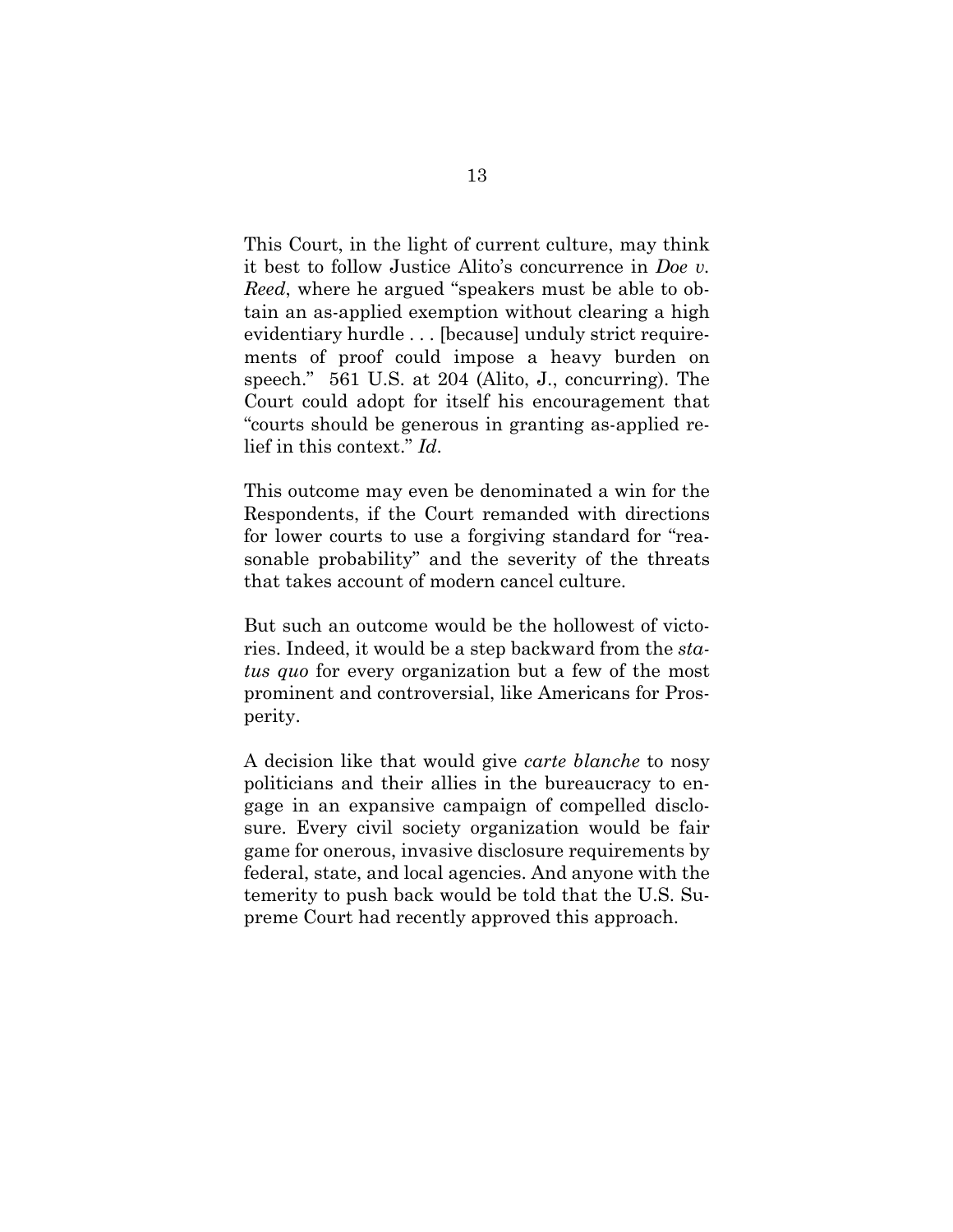This Court, in the light of current culture, may think it best to follow Justice Alito's concurrence in *Doe v. Reed*, where he argued "speakers must be able to obtain an as-applied exemption without clearing a high evidentiary hurdle . . . [because] unduly strict requirements of proof could impose a heavy burden on speech." 561 U.S. at 204 (Alito, J., concurring). The Court could adopt for itself his encouragement that "courts should be generous in granting as-applied relief in this context." *Id*.

This outcome may even be denominated a win for the Respondents, if the Court remanded with directions for lower courts to use a forgiving standard for "reasonable probability" and the severity of the threats that takes account of modern cancel culture.

But such an outcome would be the hollowest of victories. Indeed, it would be a step backward from the *status quo* for every organization but a few of the most prominent and controversial, like Americans for Prosperity.

A decision like that would give *carte blanche* to nosy politicians and their allies in the bureaucracy to engage in an expansive campaign of compelled disclosure. Every civil society organization would be fair game for onerous, invasive disclosure requirements by federal, state, and local agencies. And anyone with the temerity to push back would be told that the U.S. Supreme Court had recently approved this approach.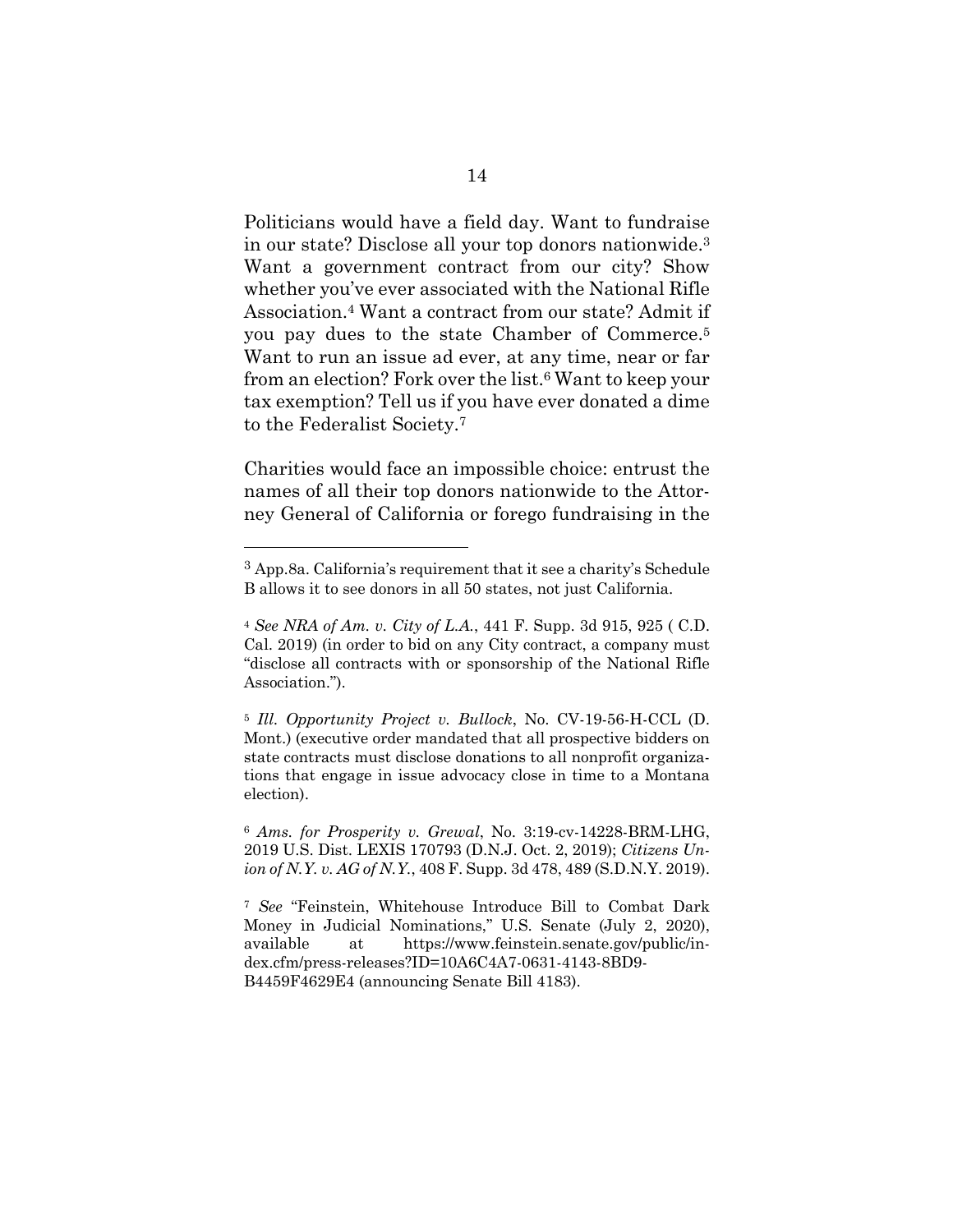Politicians would have a field day. Want to fundraise in our state? Disclose all your top donors nationwide.3 Want a government contract from our city? Show whether you've ever associated with the National Rifle Association.4 Want a contract from our state? Admit if you pay dues to the state Chamber of Commerce.5 Want to run an issue ad ever, at any time, near or far from an election? Fork over the list.6 Want to keep your tax exemption? Tell us if you have ever donated a dime to the Federalist Society.7

Charities would face an impossible choice: entrust the names of all their top donors nationwide to the Attorney General of California or forego fundraising in the

<sup>6</sup> *Ams. for Prosperity v. Grewal*, No. 3:19-cv-14228-BRM-LHG, 2019 U.S. Dist. LEXIS 170793 (D.N.J. Oct. 2, 2019); *Citizens Union of N.Y. v. AG of N.Y.*, 408 F. Supp. 3d 478, 489 (S.D.N.Y. 2019).

<sup>3</sup> App.8a. California's requirement that it see a charity's Schedule B allows it to see donors in all 50 states, not just California.

<sup>4</sup> *See NRA of Am. v. City of L.A.*, 441 F. Supp. 3d 915, 925 ( C.D. Cal. 2019) (in order to bid on any City contract, a company must "disclose all contracts with or sponsorship of the National Rifle Association.").

<sup>5</sup> *Ill. Opportunity Project v. Bullock*, No. CV-19-56-H-CCL (D. Mont.) (executive order mandated that all prospective bidders on state contracts must disclose donations to all nonprofit organizations that engage in issue advocacy close in time to a Montana election).

<sup>7</sup> *See* "Feinstein, Whitehouse Introduce Bill to Combat Dark Money in Judicial Nominations," U.S. Senate (July 2, 2020), available at https://www.feinstein.senate.gov/public/index.cfm/press-releases?ID=10A6C4A7-0631-4143-8BD9- B4459F4629E4 (announcing Senate Bill 4183).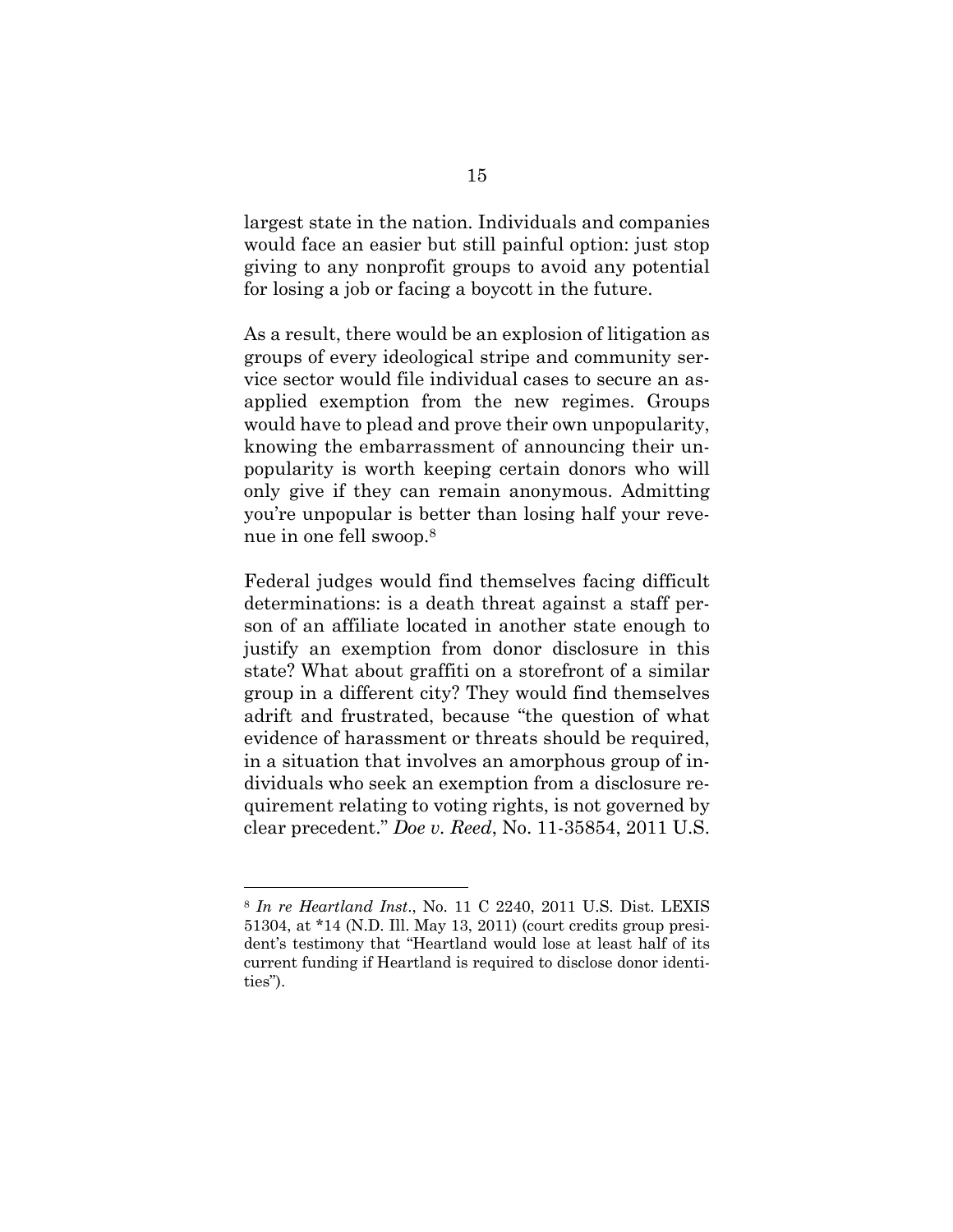largest state in the nation. Individuals and companies would face an easier but still painful option: just stop giving to any nonprofit groups to avoid any potential for losing a job or facing a boycott in the future.

As a result, there would be an explosion of litigation as groups of every ideological stripe and community service sector would file individual cases to secure an asapplied exemption from the new regimes. Groups would have to plead and prove their own unpopularity, knowing the embarrassment of announcing their unpopularity is worth keeping certain donors who will only give if they can remain anonymous. Admitting you're unpopular is better than losing half your revenue in one fell swoop.8

Federal judges would find themselves facing difficult determinations: is a death threat against a staff person of an affiliate located in another state enough to justify an exemption from donor disclosure in this state? What about graffiti on a storefront of a similar group in a different city? They would find themselves adrift and frustrated, because "the question of what evidence of harassment or threats should be required, in a situation that involves an amorphous group of individuals who seek an exemption from a disclosure requirement relating to voting rights, is not governed by clear precedent." *Doe v. Reed*, No. 11-35854, 2011 U.S.

<sup>8</sup> *In re Heartland Inst*., No. 11 C 2240, 2011 U.S. Dist. LEXIS 51304, at \*14 (N.D. Ill. May 13, 2011) (court credits group president's testimony that "Heartland would lose at least half of its current funding if Heartland is required to disclose donor identities").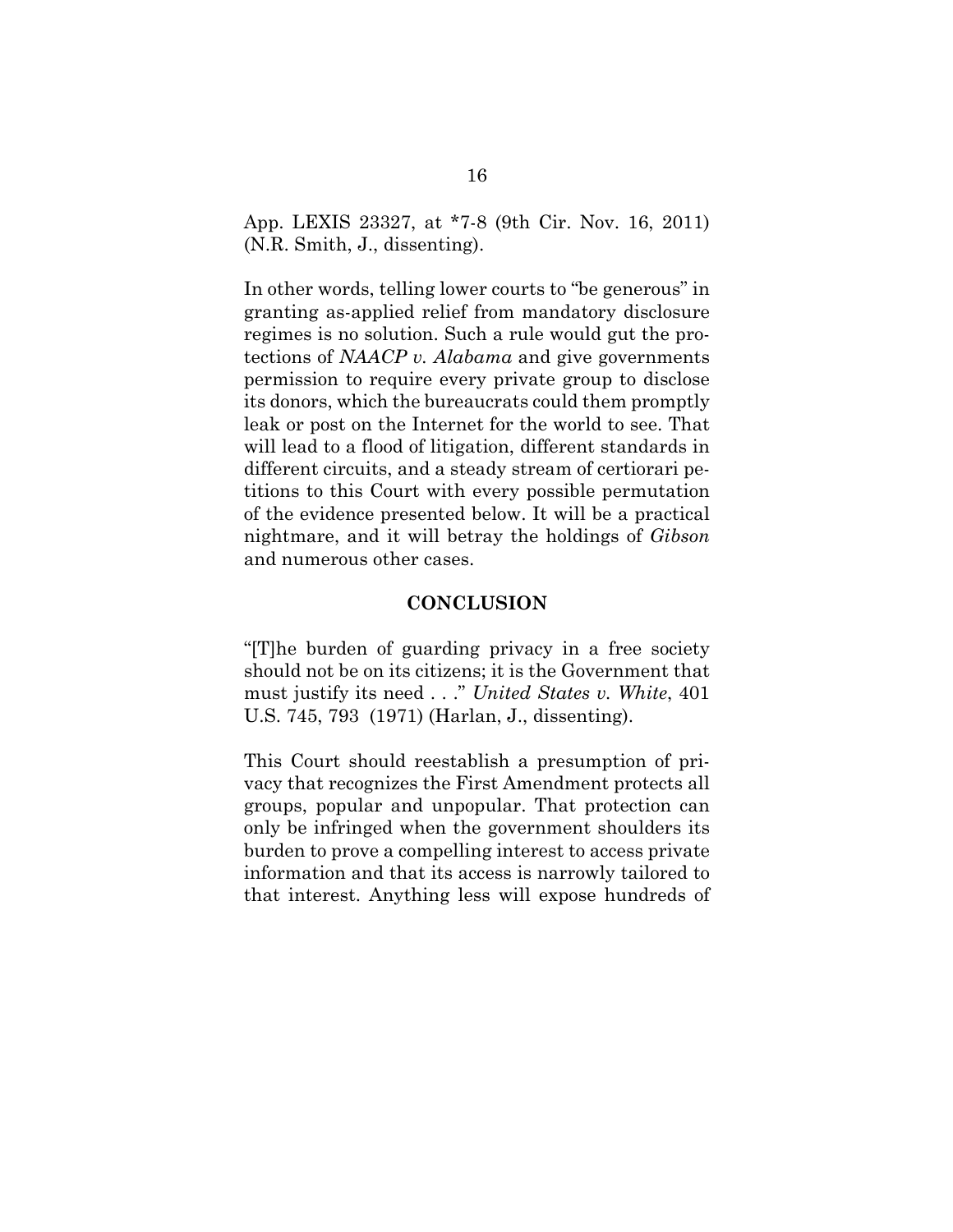App. LEXIS 23327, at \*7-8 (9th Cir. Nov. 16, 2011) (N.R. Smith, J., dissenting).

In other words, telling lower courts to "be generous" in granting as-applied relief from mandatory disclosure regimes is no solution. Such a rule would gut the protections of *NAACP v. Alabama* and give governments permission to require every private group to disclose its donors, which the bureaucrats could them promptly leak or post on the Internet for the world to see. That will lead to a flood of litigation, different standards in different circuits, and a steady stream of certiorari petitions to this Court with every possible permutation of the evidence presented below. It will be a practical nightmare, and it will betray the holdings of *Gibson*  and numerous other cases.

#### **CONCLUSION**

"[T]he burden of guarding privacy in a free society should not be on its citizens; it is the Government that must justify its need . . ." *United States v. White*, 401 U.S. 745, 793 (1971) (Harlan, J., dissenting).

This Court should reestablish a presumption of privacy that recognizes the First Amendment protects all groups, popular and unpopular. That protection can only be infringed when the government shoulders its burden to prove a compelling interest to access private information and that its access is narrowly tailored to that interest. Anything less will expose hundreds of